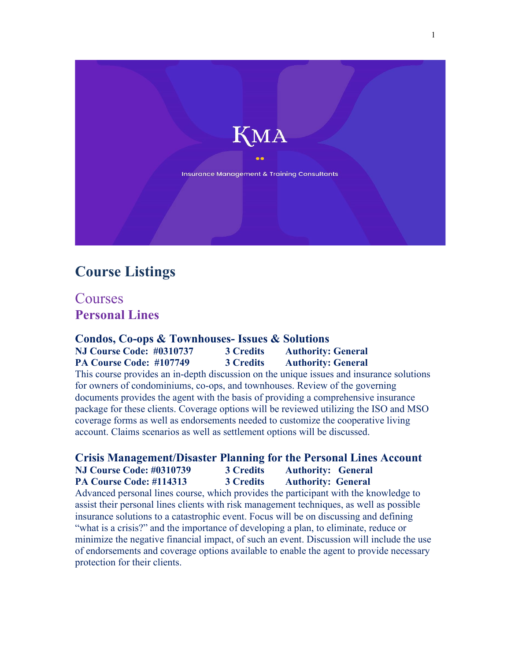

# **Course Listings**

Courses **Personal Lines**

**Condos, Co-ops & Townhouses- Issues & Solutions NJ Course Code: #0310737 3 Credits Authority: General PA Course Code: #107749 3 Credits Authority: General** This course provides an in-depth discussion on the unique issues and insurance solutions for owners of condominiums, co-ops, and townhouses. Review of the governing documents provides the agent with the basis of providing a comprehensive insurance package for these clients. Coverage options will be reviewed utilizing the ISO and MSO coverage forms as well as endorsements needed to customize the cooperative living account. Claims scenarios as well as settlement options will be discussed.

## **Crisis Management/Disaster Planning for the Personal Lines Account NJ Course Code: #0310739 3 Credits Authority: General PA Course Code: #114313 3 Credits Authority: General**

Advanced personal lines course, which provides the participant with the knowledge to assist their personal lines clients with risk management techniques, as well as possible insurance solutions to a catastrophic event. Focus will be on discussing and defining "what is a crisis?" and the importance of developing a plan, to eliminate, reduce or minimize the negative financial impact, of such an event. Discussion will include the use of endorsements and coverage options available to enable the agent to provide necessary protection for their clients.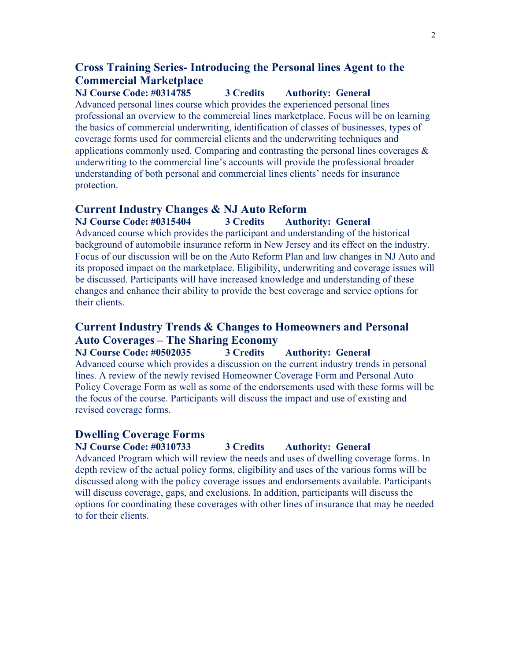# **Cross Training Series- Introducing the Personal lines Agent to the Commercial Marketplace**

**NJ Course Code: #0314785 3 Credits Authority: General**

Advanced personal lines course which provides the experienced personal lines professional an overview to the commercial lines marketplace. Focus will be on learning the basics of commercial underwriting, identification of classes of businesses, types of coverage forms used for commercial clients and the underwriting techniques and applications commonly used. Comparing and contrasting the personal lines coverages & underwriting to the commercial line's accounts will provide the professional broader understanding of both personal and commercial lines clients' needs for insurance protection.

## **Current Industry Changes & NJ Auto Reform**

**NJ Course Code: #0315404 3 Credits Authority: General** Advanced course which provides the participant and understanding of the historical background of automobile insurance reform in New Jersey and its effect on the industry. Focus of our discussion will be on the Auto Reform Plan and law changes in NJ Auto and its proposed impact on the marketplace. Eligibility, underwriting and coverage issues will be discussed. Participants will have increased knowledge and understanding of these changes and enhance their ability to provide the best coverage and service options for their clients.

# **Current Industry Trends & Changes to Homeowners and Personal Auto Coverages – The Sharing Economy**

**NJ Course Code: #0502035 3 Credits Authority: General** Advanced course which provides a discussion on the current industry trends in personal lines. A review of the newly revised Homeowner Coverage Form and Personal Auto Policy Coverage Form as well as some of the endorsements used with these forms will be the focus of the course. Participants will discuss the impact and use of existing and revised coverage forms.

#### **Dwelling Coverage Forms**

**NJ Course Code: #0310733 3 Credits Authority: General**

Advanced Program which will review the needs and uses of dwelling coverage forms. In depth review of the actual policy forms, eligibility and uses of the various forms will be discussed along with the policy coverage issues and endorsements available. Participants will discuss coverage, gaps, and exclusions. In addition, participants will discuss the options for coordinating these coverages with other lines of insurance that may be needed to for their clients.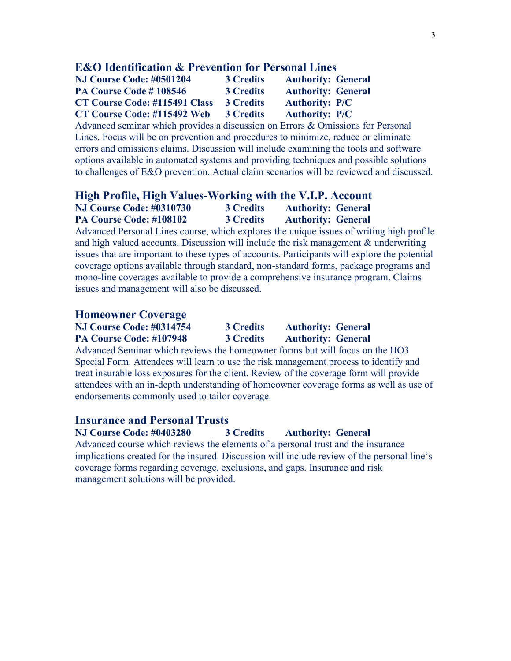#### **E&O Identification & Prevention for Personal Lines**

| NJ Course Code: #0501204             | <b>3 Credits</b> | <b>Authority: General</b> |  |
|--------------------------------------|------------------|---------------------------|--|
| PA Course Code #108546               | <b>3 Credits</b> | <b>Authority: General</b> |  |
| <b>CT Course Code: #115491 Class</b> | <b>3 Credits</b> | <b>Authority: P/C</b>     |  |
| CT Course Code: #115492 Web          | <b>3 Credits</b> | <b>Authority: P/C</b>     |  |

Advanced seminar which provides a discussion on Errors & Omissions for Personal Lines. Focus will be on prevention and procedures to minimize, reduce or eliminate errors and omissions claims. Discussion will include examining the tools and software options available in automated systems and providing techniques and possible solutions to challenges of E&O prevention. Actual claim scenarios will be reviewed and discussed.

## **High Profile, High Values-Working with the V.I.P. Account NJ Course Code: #0310730 3 Credits Authority: General PA Course Code: #108102 3 Credits Authority: General**

Advanced Personal Lines course, which explores the unique issues of writing high profile and high valued accounts. Discussion will include the risk management & underwriting issues that are important to these types of accounts. Participants will explore the potential coverage options available through standard, non-standard forms, package programs and mono-line coverages available to provide a comprehensive insurance program. Claims issues and management will also be discussed.

#### **Homeowner Coverage**

| <b>NJ Course Code: #0314754</b> | <b>3 Credits</b> | <b>Authority: General</b> |
|---------------------------------|------------------|---------------------------|
| PA Course Code: #107948         | <b>3 Credits</b> | <b>Authority: General</b> |

Advanced Seminar which reviews the homeowner forms but will focus on the HO3 Special Form. Attendees will learn to use the risk management process to identify and treat insurable loss exposures for the client. Review of the coverage form will provide attendees with an in-depth understanding of homeowner coverage forms as well as use of endorsements commonly used to tailor coverage.

## **Insurance and Personal Trusts**

**NJ Course Code: #0403280 3 Credits Authority: General**

Advanced course which reviews the elements of a personal trust and the insurance implications created for the insured. Discussion will include review of the personal line's coverage forms regarding coverage, exclusions, and gaps. Insurance and risk management solutions will be provided.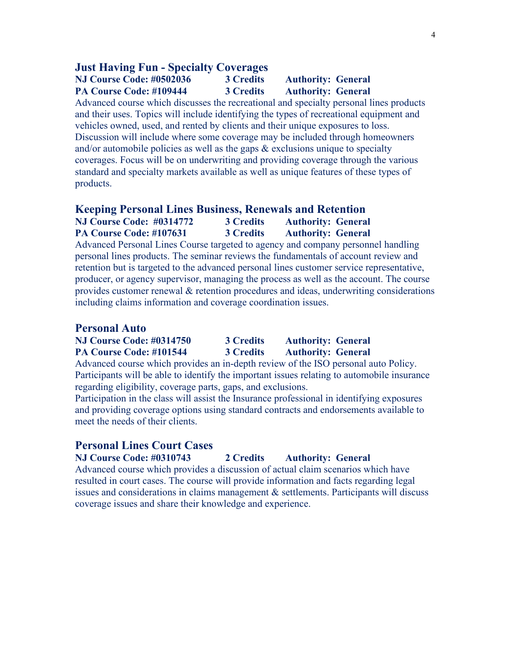## **Just Having Fun - Specialty Coverages**

**NJ Course Code: #0502036 3 Credits Authority: General PA Course Code: #109444 3 Credits Authority: General**

Advanced course which discusses the recreational and specialty personal lines products and their uses. Topics will include identifying the types of recreational equipment and vehicles owned, used, and rented by clients and their unique exposures to loss. Discussion will include where some coverage may be included through homeowners and/or automobile policies as well as the gaps  $\&$  exclusions unique to specialty coverages. Focus will be on underwriting and providing coverage through the various standard and specialty markets available as well as unique features of these types of products.

#### **Keeping Personal Lines Business, Renewals and Retention**

**NJ Course Code: #0314772 3 Credits Authority: General PA Course Code: #107631 3 Credits Authority: General** Advanced Personal Lines Course targeted to agency and company personnel handling personal lines products. The seminar reviews the fundamentals of account review and retention but is targeted to the advanced personal lines customer service representative, producer, or agency supervisor, managing the process as well as the account. The course provides customer renewal & retention procedures and ideas, underwriting considerations including claims information and coverage coordination issues.

#### **Personal Auto**

| <b>NJ Course Code: #0314750</b> | <b>3 Credits</b> | <b>Authority: General</b> |
|---------------------------------|------------------|---------------------------|
| PA Course Code: #101544         | <b>3 Credits</b> | <b>Authority: General</b> |

Advanced course which provides an in-depth review of the ISO personal auto Policy. Participants will be able to identify the important issues relating to automobile insurance regarding eligibility, coverage parts, gaps, and exclusions.

Participation in the class will assist the Insurance professional in identifying exposures and providing coverage options using standard contracts and endorsements available to meet the needs of their clients.

## **Personal Lines Court Cases**

**NJ Course Code: #0310743 2 Credits Authority: General**

Advanced course which provides a discussion of actual claim scenarios which have resulted in court cases. The course will provide information and facts regarding legal issues and considerations in claims management & settlements. Participants will discuss coverage issues and share their knowledge and experience.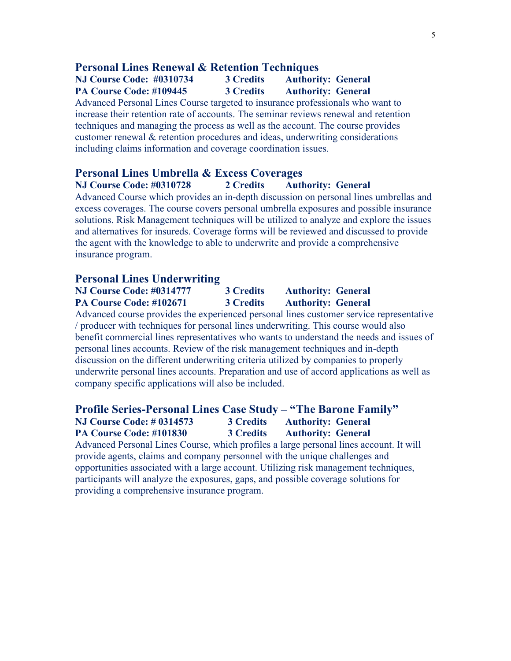#### **Personal Lines Renewal & Retention Techniques**

## **NJ Course Code: #0310734 3 Credits Authority: General PA Course Code: #109445 3 Credits Authority: General**

Advanced Personal Lines Course targeted to insurance professionals who want to increase their retention rate of accounts. The seminar reviews renewal and retention techniques and managing the process as well as the account. The course provides customer renewal & retention procedures and ideas, underwriting considerations including claims information and coverage coordination issues.

## **Personal Lines Umbrella & Excess Coverages**

**NJ Course Code: #0310728 2 Credits Authority: General**

Advanced Course which provides an in-depth discussion on personal lines umbrellas and excess coverages. The course covers personal umbrella exposures and possible insurance solutions. Risk Management techniques will be utilized to analyze and explore the issues and alternatives for insureds. Coverage forms will be reviewed and discussed to provide the agent with the knowledge to able to underwrite and provide a comprehensive insurance program.

#### **Personal Lines Underwriting**

| <b>NJ Course Code: #0314777</b>                                                           | 3 Credits        | <b>Authority: General</b> |  |
|-------------------------------------------------------------------------------------------|------------------|---------------------------|--|
| PA Course Code: #102671                                                                   | <b>3 Credits</b> | <b>Authority: General</b> |  |
| Advanced course provides the experienced personal lines customer service representative   |                  |                           |  |
| / producer with techniques for personal lines underwriting. This course would also        |                  |                           |  |
| benefit commercial lines representatives who wants to understand the needs and issues of  |                  |                           |  |
| personal lines accounts. Review of the risk management techniques and in-depth            |                  |                           |  |
| discussion on the different underwriting criteria utilized by companies to properly       |                  |                           |  |
| underwrite personal lines accounts. Preparation and use of accord applications as well as |                  |                           |  |
| company specific applications will also be included.                                      |                  |                           |  |

#### **Profile Series-Personal Lines Case Study – "The Barone Family" NJ Course Code: # 0314573 3 Credits Authority: General PA Course Code: #101830 3 Credits Authority: General**

Advanced Personal Lines Course, which profiles a large personal lines account. It will provide agents, claims and company personnel with the unique challenges and opportunities associated with a large account. Utilizing risk management techniques, participants will analyze the exposures, gaps, and possible coverage solutions for providing a comprehensive insurance program.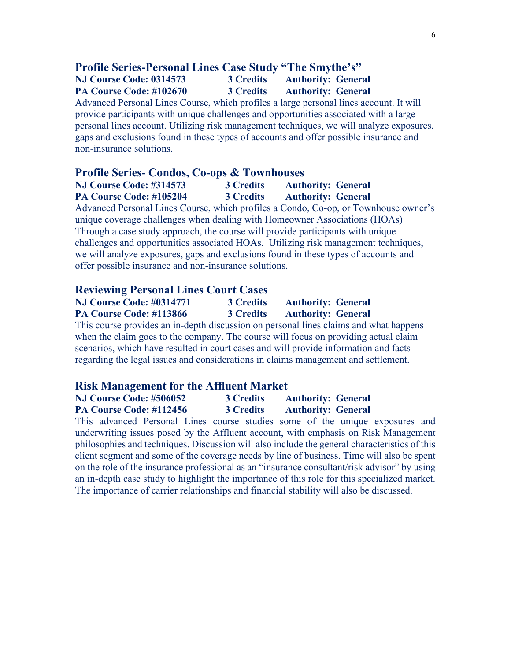# **Profile Series-Personal Lines Case Study "The Smythe's"**

**NJ Course Code: 0314573 3 Credits Authority: General PA Course Code: #102670 3 Credits Authority: General**

Advanced Personal Lines Course, which profiles a large personal lines account. It will provide participants with unique challenges and opportunities associated with a large personal lines account. Utilizing risk management techniques, we will analyze exposures, gaps and exclusions found in these types of accounts and offer possible insurance and non-insurance solutions.

#### **Profile Series- Condos, Co-ops & Townhouses**

**NJ Course Code: #314573 3 Credits Authority: General PA Course Code: #105204 3 Credits Authority: General**

Advanced Personal Lines Course, which profiles a Condo, Co-op, or Townhouse owner's unique coverage challenges when dealing with Homeowner Associations (HOAs) Through a case study approach, the course will provide participants with unique challenges and opportunities associated HOAs. Utilizing risk management techniques, we will analyze exposures, gaps and exclusions found in these types of accounts and offer possible insurance and non-insurance solutions.

#### **Reviewing Personal Lines Court Cases**

| <b>NJ Course Code: #0314771</b> | <b>3 Credits</b> | <b>Authority: General</b> |
|---------------------------------|------------------|---------------------------|
| PA Course Code: #113866         | <b>3 Credits</b> | <b>Authority: General</b> |

This course provides an in-depth discussion on personal lines claims and what happens when the claim goes to the company. The course will focus on providing actual claim scenarios, which have resulted in court cases and will provide information and facts regarding the legal issues and considerations in claims management and settlement.

#### **Risk Management for the Affluent Market**

| NJ Course Code: #506052 | <b>3 Credits</b> | <b>Authority: General</b> |
|-------------------------|------------------|---------------------------|
| PA Course Code: #112456 | <b>3 Credits</b> | <b>Authority: General</b> |

This advanced Personal Lines course studies some of the unique exposures and underwriting issues posed by the Affluent account, with emphasis on Risk Management philosophies and techniques. Discussion will also include the general characteristics of this client segment and some of the coverage needs by line of business. Time will also be spent on the role of the insurance professional as an "insurance consultant/risk advisor" by using an in-depth case study to highlight the importance of this role for this specialized market. The importance of carrier relationships and financial stability will also be discussed.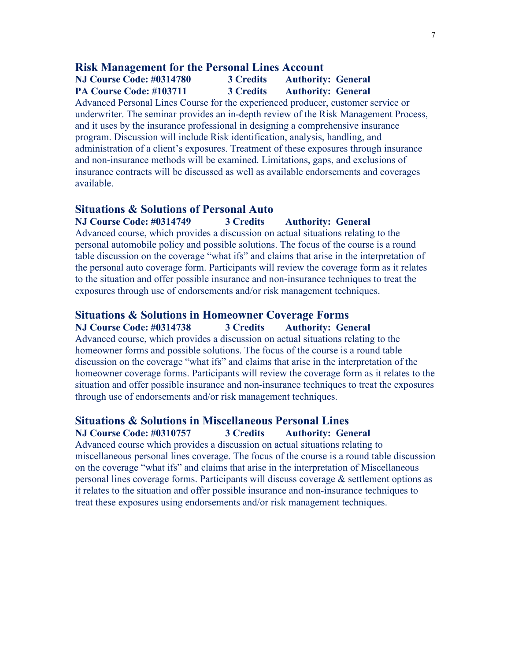### **Risk Management for the Personal Lines Account**

**NJ Course Code: #0314780 3 Credits Authority: General PA Course Code: #103711 3 Credits Authority: General**

Advanced Personal Lines Course for the experienced producer, customer service or underwriter. The seminar provides an in-depth review of the Risk Management Process, and it uses by the insurance professional in designing a comprehensive insurance program. Discussion will include Risk identification, analysis, handling, and administration of a client's exposures. Treatment of these exposures through insurance and non-insurance methods will be examined. Limitations, gaps, and exclusions of insurance contracts will be discussed as well as available endorsements and coverages available.

#### **Situations & Solutions of Personal Auto**

**NJ Course Code: #0314749 3 Credits Authority: General** Advanced course, which provides a discussion on actual situations relating to the personal automobile policy and possible solutions. The focus of the course is a round table discussion on the coverage "what ifs" and claims that arise in the interpretation of the personal auto coverage form. Participants will review the coverage form as it relates to the situation and offer possible insurance and non-insurance techniques to treat the exposures through use of endorsements and/or risk management techniques.

### **Situations & Solutions in Homeowner Coverage Forms**

#### **NJ Course Code: #0314738 3 Credits Authority: General**

Advanced course, which provides a discussion on actual situations relating to the homeowner forms and possible solutions. The focus of the course is a round table discussion on the coverage "what ifs" and claims that arise in the interpretation of the homeowner coverage forms. Participants will review the coverage form as it relates to the situation and offer possible insurance and non-insurance techniques to treat the exposures through use of endorsements and/or risk management techniques.

#### **Situations & Solutions in Miscellaneous Personal Lines NJ Course Code: #0310757 3 Credits Authority: General**

Advanced course which provides a discussion on actual situations relating to miscellaneous personal lines coverage. The focus of the course is a round table discussion on the coverage "what ifs" and claims that arise in the interpretation of Miscellaneous personal lines coverage forms. Participants will discuss coverage & settlement options as it relates to the situation and offer possible insurance and non-insurance techniques to treat these exposures using endorsements and/or risk management techniques.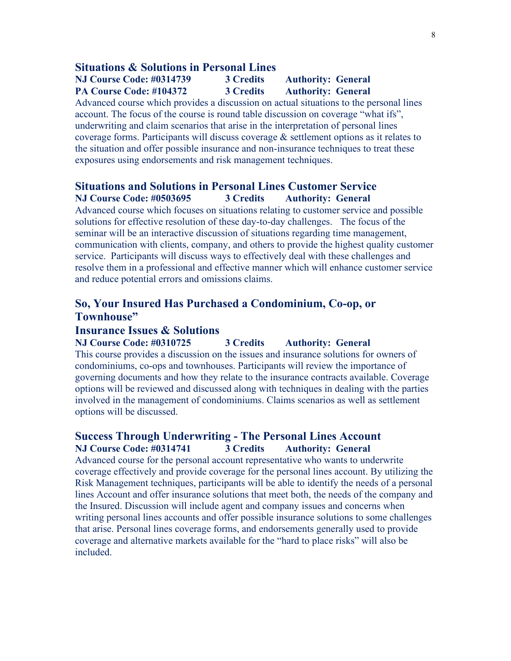#### **Situations & Solutions in Personal Lines**

### **NJ Course Code: #0314739 3 Credits Authority: General PA Course Code: #104372 3 Credits Authority: General**

Advanced course which provides a discussion on actual situations to the personal lines account. The focus of the course is round table discussion on coverage "what ifs", underwriting and claim scenarios that arise in the interpretation of personal lines coverage forms. Participants will discuss coverage & settlement options as it relates to the situation and offer possible insurance and non-insurance techniques to treat these exposures using endorsements and risk management techniques.

## **Situations and Solutions in Personal Lines Customer Service NJ Course Code: #0503695 3 Credits Authority: General**

Advanced course which focuses on situations relating to customer service and possible solutions for effective resolution of these day-to-day challenges. The focus of the seminar will be an interactive discussion of situations regarding time management, communication with clients, company, and others to provide the highest quality customer service. Participants will discuss ways to effectively deal with these challenges and resolve them in a professional and effective manner which will enhance customer service and reduce potential errors and omissions claims.

# **So, Your Insured Has Purchased a Condominium, Co-op, or Townhouse"**

## **Insurance Issues & Solutions**

**NJ Course Code: #0310725 3 Credits Authority: General** This course provides a discussion on the issues and insurance solutions for owners of condominiums, co-ops and townhouses. Participants will review the importance of governing documents and how they relate to the insurance contracts available. Coverage options will be reviewed and discussed along with techniques in dealing with the parties involved in the management of condominiums. Claims scenarios as well as settlement options will be discussed.

## **Success Through Underwriting - The Personal Lines Account NJ Course Code: #0314741 3 Credits Authority: General**

Advanced course for the personal account representative who wants to underwrite coverage effectively and provide coverage for the personal lines account. By utilizing the Risk Management techniques, participants will be able to identify the needs of a personal lines Account and offer insurance solutions that meet both, the needs of the company and the Insured. Discussion will include agent and company issues and concerns when writing personal lines accounts and offer possible insurance solutions to some challenges that arise. Personal lines coverage forms, and endorsements generally used to provide coverage and alternative markets available for the "hard to place risks" will also be included.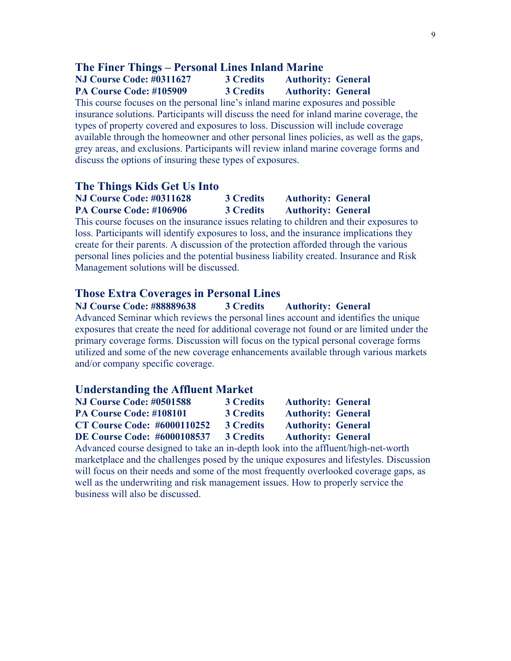#### **The Finer Things – Personal Lines Inland Marine**

## **NJ Course Code: #0311627 3 Credits Authority: General PA Course Code: #105909 3 Credits Authority: General**

This course focuses on the personal line's inland marine exposures and possible insurance solutions. Participants will discuss the need for inland marine coverage, the types of property covered and exposures to loss. Discussion will include coverage available through the homeowner and other personal lines policies, as well as the gaps, grey areas, and exclusions. Participants will review inland marine coverage forms and discuss the options of insuring these types of exposures.

#### **The Things Kids Get Us Into**

## **NJ Course Code: #0311628 3 Credits Authority: General PA Course Code: #106906 3 Credits Authority: General**

This course focuses on the insurance issues relating to children and their exposures to loss. Participants will identify exposures to loss, and the insurance implications they create for their parents. A discussion of the protection afforded through the various personal lines policies and the potential business liability created. Insurance and Risk Management solutions will be discussed.

#### **Those Extra Coverages in Personal Lines**

**NJ Course Code: #88889638 3 Credits Authority: General** Advanced Seminar which reviews the personal lines account and identifies the unique exposures that create the need for additional coverage not found or are limited under the primary coverage forms. Discussion will focus on the typical personal coverage forms utilized and some of the new coverage enhancements available through various markets and/or company specific coverage.

#### **Understanding the Affluent Market**

| <b>NJ Course Code: #0501588</b>    | <b>3 Credits</b> | <b>Authority: General</b> |
|------------------------------------|------------------|---------------------------|
| PA Course Code: #108101            | <b>3 Credits</b> | <b>Authority: General</b> |
| <b>CT Course Code: #6000110252</b> | <b>3 Credits</b> | <b>Authority: General</b> |
| <b>DE Course Code: #6000108537</b> | <b>3 Credits</b> | <b>Authority: General</b> |
|                                    |                  |                           |

Advanced course designed to take an in-depth look into the affluent/high-net-worth marketplace and the challenges posed by the unique exposures and lifestyles. Discussion will focus on their needs and some of the most frequently overlooked coverage gaps, as well as the underwriting and risk management issues. How to properly service the business will also be discussed.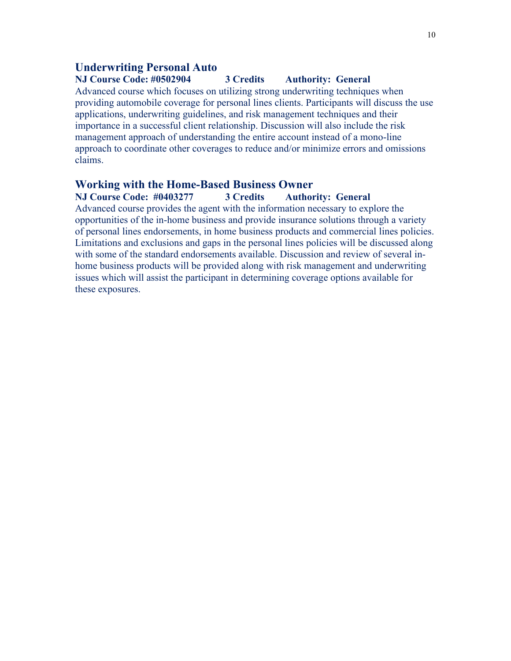## **Underwriting Personal Auto**

## **NJ Course Code: #0502904 3 Credits Authority: General**

Advanced course which focuses on utilizing strong underwriting techniques when providing automobile coverage for personal lines clients. Participants will discuss the use applications, underwriting guidelines, and risk management techniques and their importance in a successful client relationship. Discussion will also include the risk management approach of understanding the entire account instead of a mono-line approach to coordinate other coverages to reduce and/or minimize errors and omissions claims.

## **Working with the Home-Based Business Owner**

**NJ Course Code: #0403277 3 Credits Authority: General**

Advanced course provides the agent with the information necessary to explore the opportunities of the in-home business and provide insurance solutions through a variety of personal lines endorsements, in home business products and commercial lines policies. Limitations and exclusions and gaps in the personal lines policies will be discussed along with some of the standard endorsements available. Discussion and review of several inhome business products will be provided along with risk management and underwriting issues which will assist the participant in determining coverage options available for these exposures.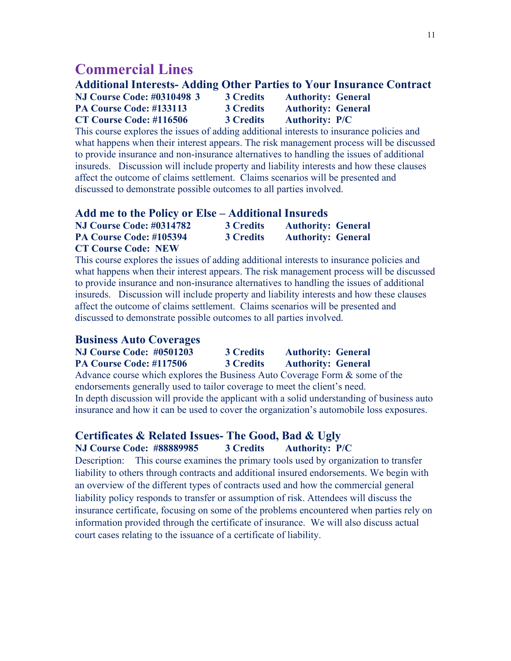# **Commercial Lines**

# **Additional Interests- Adding Other Parties to Your Insurance Contract**

| <b>NJ Course Code: #0310498 3</b> | <b>3 Credits</b> | <b>Authority: General</b> |
|-----------------------------------|------------------|---------------------------|
| PA Course Code: #133113           | <b>3 Credits</b> | <b>Authority: General</b> |
| CT Course Code: #116506           | <b>3 Credits</b> | <b>Authority: P/C</b>     |

This course explores the issues of adding additional interests to insurance policies and what happens when their interest appears. The risk management process will be discussed to provide insurance and non-insurance alternatives to handling the issues of additional insureds. Discussion will include property and liability interests and how these clauses affect the outcome of claims settlement. Claims scenarios will be presented and discussed to demonstrate possible outcomes to all parties involved.

#### **Add me to the Policy or Else – Additional Insureds**

| <b>NJ Course Code: #0314782</b> | <b>3 Credits</b> | <b>Authority: General</b> |
|---------------------------------|------------------|---------------------------|
| PA Course Code: #105394         | <b>3 Credits</b> | <b>Authority: General</b> |
| <b>CT Course Code: NEW</b>      |                  |                           |

This course explores the issues of adding additional interests to insurance policies and what happens when their interest appears. The risk management process will be discussed to provide insurance and non-insurance alternatives to handling the issues of additional insureds. Discussion will include property and liability interests and how these clauses affect the outcome of claims settlement. Claims scenarios will be presented and discussed to demonstrate possible outcomes to all parties involved.

#### **Business Auto Coverages**

**NJ Course Code: #0501203 3 Credits Authority: General PA Course Code: #117506 3 Credits Authority: General** Advance course which explores the Business Auto Coverage Form & some of the

endorsements generally used to tailor coverage to meet the client's need. In depth discussion will provide the applicant with a solid understanding of business auto insurance and how it can be used to cover the organization's automobile loss exposures.

## **Certificates & Related Issues- The Good, Bad & Ugly NJ Course Code: #88889985 3 Credits Authority: P/C**

Description: This course examines the primary tools used by organization to transfer liability to others through contracts and additional insured endorsements. We begin with an overview of the different types of contracts used and how the commercial general liability policy responds to transfer or assumption of risk. Attendees will discuss the insurance certificate, focusing on some of the problems encountered when parties rely on information provided through the certificate of insurance. We will also discuss actual court cases relating to the issuance of a certificate of liability.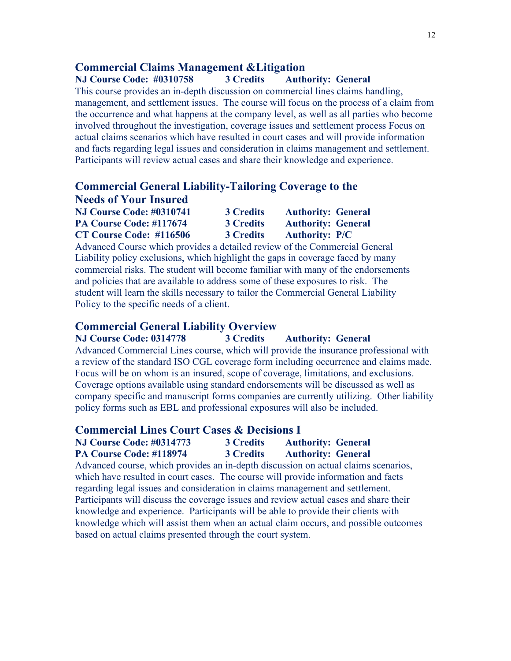# **Commercial Claims Management &Litigation**

#### **NJ Course Code: #0310758 3 Credits Authority: General**

This course provides an in-depth discussion on commercial lines claims handling, management, and settlement issues. The course will focus on the process of a claim from the occurrence and what happens at the company level, as well as all parties who become involved throughout the investigation, coverage issues and settlement process Focus on actual claims scenarios which have resulted in court cases and will provide information and facts regarding legal issues and consideration in claims management and settlement. Participants will review actual cases and share their knowledge and experience.

## **Commercial General Liability-Tailoring Coverage to the Needs of Your Insured**

| <b>NJ Course Code: #0310741</b> | <b>3 Credits</b> | <b>Authority: General</b> |
|---------------------------------|------------------|---------------------------|
| PA Course Code: #117674         | <b>3 Credits</b> | <b>Authority: General</b> |
| CT Course Code: #116506         | <b>3 Credits</b> | <b>Authority: P/C</b>     |

Advanced Course which provides a detailed review of the Commercial General Liability policy exclusions, which highlight the gaps in coverage faced by many commercial risks. The student will become familiar with many of the endorsements and policies that are available to address some of these exposures to risk. The student will learn the skills necessary to tailor the Commercial General Liability Policy to the specific needs of a client.

#### **Commercial General Liability Overview**

**NJ Course Code: 0314778 3 Credits Authority: General** Advanced Commercial Lines course, which will provide the insurance professional with a review of the standard ISO CGL coverage form including occurrence and claims made. Focus will be on whom is an insured, scope of coverage, limitations, and exclusions. Coverage options available using standard endorsements will be discussed as well as company specific and manuscript forms companies are currently utilizing. Other liability policy forms such as EBL and professional exposures will also be included.

### **Commercial Lines Court Cases & Decisions I**

| <b>NJ Course Code: #0314773</b> | <b>3 Credits</b> | <b>Authority: General</b> |
|---------------------------------|------------------|---------------------------|
| PA Course Code: #118974         | <b>3 Credits</b> | <b>Authority: General</b> |

Advanced course, which provides an in-depth discussion on actual claims scenarios, which have resulted in court cases. The course will provide information and facts regarding legal issues and consideration in claims management and settlement. Participants will discuss the coverage issues and review actual cases and share their knowledge and experience. Participants will be able to provide their clients with knowledge which will assist them when an actual claim occurs, and possible outcomes based on actual claims presented through the court system.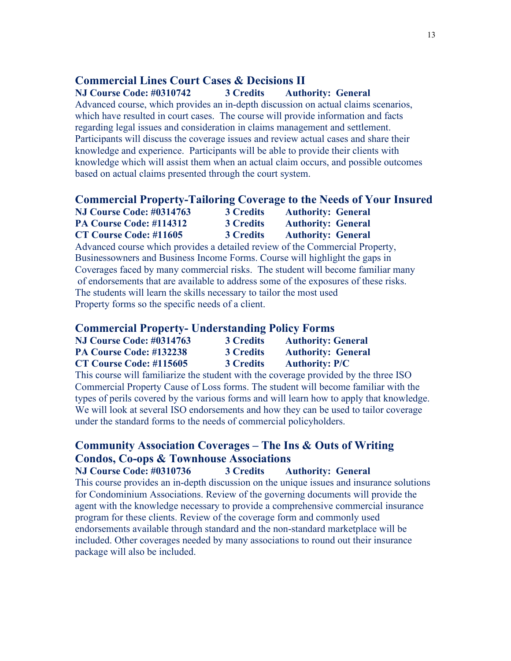# **Commercial Lines Court Cases & Decisions II**

**NJ Course Code: #0310742 3 Credits Authority: General**

Advanced course, which provides an in-depth discussion on actual claims scenarios, which have resulted in court cases. The course will provide information and facts regarding legal issues and consideration in claims management and settlement. Participants will discuss the coverage issues and review actual cases and share their knowledge and experience. Participants will be able to provide their clients with knowledge which will assist them when an actual claim occurs, and possible outcomes based on actual claims presented through the court system.

#### **Commercial Property-Tailoring Coverage to the Needs of Your Insured**

| <b>NJ Course Code: #0314763</b> | <b>3 Credits</b> | <b>Authority: General</b> |  |
|---------------------------------|------------------|---------------------------|--|
| PA Course Code: #114312         | <b>3 Credits</b> | <b>Authority: General</b> |  |
| <b>CT Course Code: #11605</b>   | <b>3 Credits</b> | <b>Authority: General</b> |  |

Advanced course which provides a detailed review of the Commercial Property, Businessowners and Business Income Forms. Course will highlight the gaps in Coverages faced by many commercial risks. The student will become familiar many of endorsements that are available to address some of the exposures of these risks. The students will learn the skills necessary to tailor the most used Property forms so the specific needs of a client.

## **Commercial Property- Understanding Policy Forms**

| <b>NJ Course Code: #0314763</b> | <b>3 Credits</b> | <b>Authority: General</b> |
|---------------------------------|------------------|---------------------------|
| PA Course Code: #132238         | <b>3 Credits</b> | <b>Authority: General</b> |
| CT Course Code: #115605         | <b>3 Credits</b> | <b>Authority: P/C</b>     |

This course will familiarize the student with the coverage provided by the three ISO Commercial Property Cause of Loss forms. The student will become familiar with the types of perils covered by the various forms and will learn how to apply that knowledge. We will look at several ISO endorsements and how they can be used to tailor coverage under the standard forms to the needs of commercial policyholders.

# **Community Association Coverages – The Ins & Outs of Writing Condos, Co-ops & Townhouse Associations**

**NJ Course Code: #0310736 3 Credits Authority: General**

This course provides an in-depth discussion on the unique issues and insurance solutions for Condominium Associations. Review of the governing documents will provide the agent with the knowledge necessary to provide a comprehensive commercial insurance program for these clients. Review of the coverage form and commonly used endorsements available through standard and the non-standard marketplace will be included. Other coverages needed by many associations to round out their insurance package will also be included.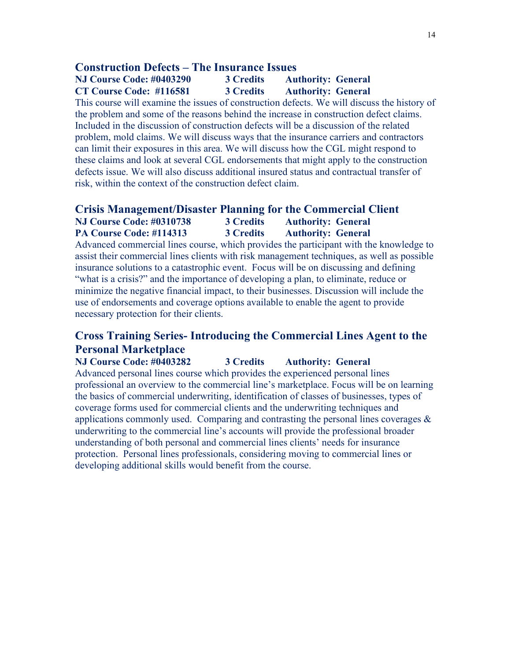#### **Construction Defects – The Insurance Issues**

**NJ Course Code: #0403290 3 Credits Authority: General CT Course Code: #116581 3 Credits Authority: General**

This course will examine the issues of construction defects. We will discuss the history of the problem and some of the reasons behind the increase in construction defect claims. Included in the discussion of construction defects will be a discussion of the related problem, mold claims. We will discuss ways that the insurance carriers and contractors can limit their exposures in this area. We will discuss how the CGL might respond to these claims and look at several CGL endorsements that might apply to the construction defects issue. We will also discuss additional insured status and contractual transfer of risk, within the context of the construction defect claim.

#### **Crisis Management/Disaster Planning for the Commercial Client**

| <b>NJ Course Code: #0310738</b>                                                       | 3 Credits | <b>Authority: General</b>                                                                  |
|---------------------------------------------------------------------------------------|-----------|--------------------------------------------------------------------------------------------|
| PA Course Code: #114313                                                               | 3 Credits | <b>Authority: General</b>                                                                  |
|                                                                                       |           | Advanced commercial lines course, which provides the participant with the knowledge to     |
|                                                                                       |           | assist their commercial lines clients with risk management techniques, as well as possible |
| insurance solutions to a catastrophic event. Focus will be on discussing and defining |           |                                                                                            |
| "what is a crisis?" and the importance of developing a plan, to eliminate, reduce or  |           |                                                                                            |
|                                                                                       |           | minimize the negative financial impact, to their businesses. Discussion will include the   |
| use of endorsements and coverage options available to enable the agent to provide     |           |                                                                                            |
| necessary protection for their clients.                                               |           |                                                                                            |

# **Cross Training Series- Introducing the Commercial Lines Agent to the Personal Marketplace**

**NJ Course Code: #0403282 3 Credits Authority: General** Advanced personal lines course which provides the experienced personal lines professional an overview to the commercial line's marketplace. Focus will be on learning the basics of commercial underwriting, identification of classes of businesses, types of coverage forms used for commercial clients and the underwriting techniques and applications commonly used. Comparing and contrasting the personal lines coverages  $\&$ underwriting to the commercial line's accounts will provide the professional broader understanding of both personal and commercial lines clients' needs for insurance protection. Personal lines professionals, considering moving to commercial lines or developing additional skills would benefit from the course.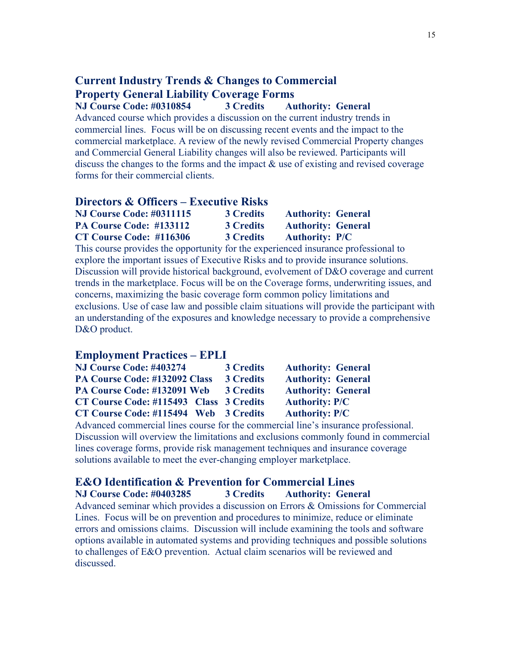## **Current Industry Trends & Changes to Commercial Property General Liability Coverage Forms NJ Course Code: #0310854 3 Credits Authority: General**

Advanced course which provides a discussion on the current industry trends in commercial lines. Focus will be on discussing recent events and the impact to the commercial marketplace. A review of the newly revised Commercial Property changes and Commercial General Liability changes will also be reviewed. Participants will discuss the changes to the forms and the impact & use of existing and revised coverage forms for their commercial clients.

### **Directors & Officers – Executive Risks**

| <b>NJ Course Code: #0311115</b> | <b>3 Credits</b> | <b>Authority: General</b> |
|---------------------------------|------------------|---------------------------|
| PA Course Code: #133112         | <b>3 Credits</b> | <b>Authority: General</b> |
| CT Course Code: #116306         | <b>3 Credits</b> | <b>Authority: P/C</b>     |

This course provides the opportunity for the experienced insurance professional to explore the important issues of Executive Risks and to provide insurance solutions. Discussion will provide historical background, evolvement of D&O coverage and current trends in the marketplace. Focus will be on the Coverage forms, underwriting issues, and concerns, maximizing the basic coverage form common policy limitations and exclusions. Use of case law and possible claim situations will provide the participant with an understanding of the exposures and knowledge necessary to provide a comprehensive D&O product.

## **Employment Practices – EPLI**

| NJ Course Code: #403274                 | <b>3 Credits</b> | <b>Authority: General</b> |
|-----------------------------------------|------------------|---------------------------|
| PA Course Code: #132092 Class           | <b>3 Credits</b> | <b>Authority: General</b> |
| PA Course Code: #132091 Web             | <b>3 Credits</b> | <b>Authority: General</b> |
| CT Course Code: #115493 Class 3 Credits |                  | <b>Authority: P/C</b>     |
| CT Course Code: #115494 Web 3 Credits   |                  | <b>Authority: P/C</b>     |
|                                         |                  |                           |

Advanced commercial lines course for the commercial line's insurance professional. Discussion will overview the limitations and exclusions commonly found in commercial lines coverage forms, provide risk management techniques and insurance coverage solutions available to meet the ever-changing employer marketplace.

## **E&O Identification & Prevention for Commercial Lines**

**NJ Course Code: #0403285 3 Credits Authority: General** Advanced seminar which provides a discussion on Errors & Omissions for Commercial Lines. Focus will be on prevention and procedures to minimize, reduce or eliminate errors and omissions claims. Discussion will include examining the tools and software options available in automated systems and providing techniques and possible solutions to challenges of E&O prevention. Actual claim scenarios will be reviewed and discussed.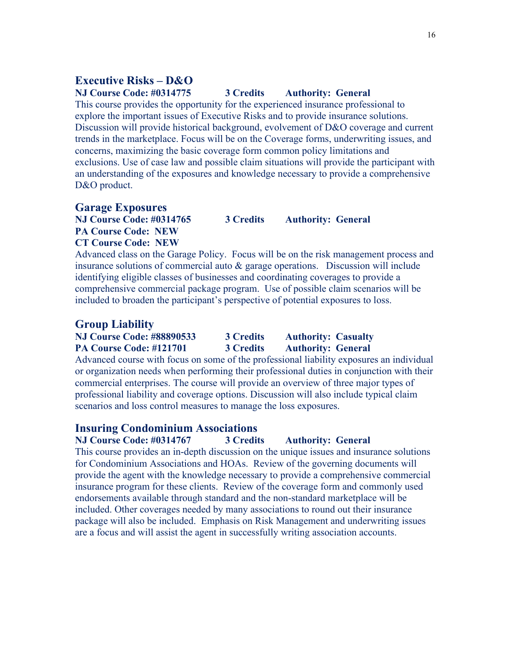# **Executive Risks – D&O**

## **NJ Course Code: #0314775 3 Credits Authority: General**

This course provides the opportunity for the experienced insurance professional to explore the important issues of Executive Risks and to provide insurance solutions. Discussion will provide historical background, evolvement of D&O coverage and current trends in the marketplace. Focus will be on the Coverage forms, underwriting issues, and concerns, maximizing the basic coverage form common policy limitations and exclusions. Use of case law and possible claim situations will provide the participant with an understanding of the exposures and knowledge necessary to provide a comprehensive D&O product.

#### **Garage Exposures**

**NJ Course Code: #0314765 3 Credits Authority: General PA Course Code: NEW**

**CT Course Code: NEW**

Advanced class on the Garage Policy. Focus will be on the risk management process and insurance solutions of commercial auto & garage operations. Discussion will include identifying eligible classes of businesses and coordinating coverages to provide a comprehensive commercial package program. Use of possible claim scenarios will be included to broaden the participant's perspective of potential exposures to loss.

#### **Group Liability**

## **NJ Course Code: #88890533 3 Credits Authority: Casualty PA Course Code: #121701 3 Credits Authority: General**

Advanced course with focus on some of the professional liability exposures an individual or organization needs when performing their professional duties in conjunction with their commercial enterprises. The course will provide an overview of three major types of professional liability and coverage options. Discussion will also include typical claim scenarios and loss control measures to manage the loss exposures.

#### **Insuring Condominium Associations**

**NJ Course Code: #0314767 3 Credits Authority: General** This course provides an in-depth discussion on the unique issues and insurance solutions for Condominium Associations and HOAs. Review of the governing documents will provide the agent with the knowledge necessary to provide a comprehensive commercial insurance program for these clients. Review of the coverage form and commonly used

endorsements available through standard and the non-standard marketplace will be included. Other coverages needed by many associations to round out their insurance package will also be included. Emphasis on Risk Management and underwriting issues are a focus and will assist the agent in successfully writing association accounts.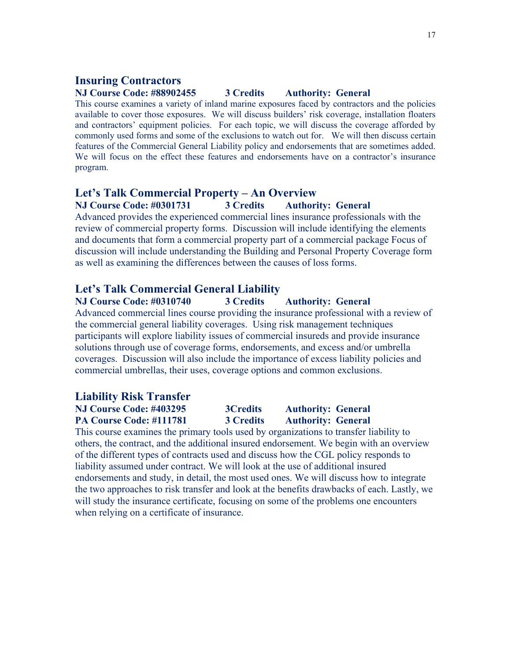## **Insuring Contractors**

## **NJ Course Code: #88902455 3 Credits Authority: General**

This course examines a variety of inland marine exposures faced by contractors and the policies available to cover those exposures. We will discuss builders' risk coverage, installation floaters and contractors' equipment policies. For each topic, we will discuss the coverage afforded by commonly used forms and some of the exclusions to watch out for. We will then discuss certain features of the Commercial General Liability policy and endorsements that are sometimes added. We will focus on the effect these features and endorsements have on a contractor's insurance program.

#### **Let's Talk Commercial Property – An Overview**

**NJ Course Code: #0301731 3 Credits Authority: General**

Advanced provides the experienced commercial lines insurance professionals with the review of commercial property forms. Discussion will include identifying the elements and documents that form a commercial property part of a commercial package Focus of discussion will include understanding the Building and Personal Property Coverage form as well as examining the differences between the causes of loss forms.

#### **Let's Talk Commercial General Liability**

**NJ Course Code: #0310740 3 Credits Authority: General** Advanced commercial lines course providing the insurance professional with a review of the commercial general liability coverages. Using risk management techniques participants will explore liability issues of commercial insureds and provide insurance solutions through use of coverage forms, endorsements, and excess and/or umbrella coverages. Discussion will also include the importance of excess liability policies and commercial umbrellas, their uses, coverage options and common exclusions.

# **Liability Risk Transfer NJ Course Code: #403295 3Credits Authority: General PA Course Code: #111781 3 Credits Authority: General**

This course examines the primary tools used by organizations to transfer liability to others, the contract, and the additional insured endorsement. We begin with an overview of the different types of contracts used and discuss how the CGL policy responds to liability assumed under contract. We will look at the use of additional insured endorsements and study, in detail, the most used ones. We will discuss how to integrate the two approaches to risk transfer and look at the benefits drawbacks of each. Lastly, we will study the insurance certificate, focusing on some of the problems one encounters when relying on a certificate of insurance.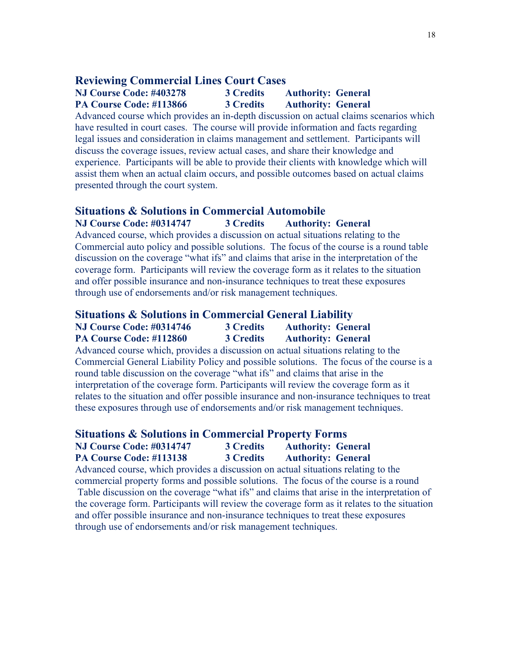#### **Reviewing Commercial Lines Court Cases**

## **NJ Course Code: #403278 3 Credits Authority: General PA Course Code: #113866 3 Credits Authority: General**

Advanced course which provides an in-depth discussion on actual claims scenarios which have resulted in court cases. The course will provide information and facts regarding legal issues and consideration in claims management and settlement. Participants will discuss the coverage issues, review actual cases, and share their knowledge and experience. Participants will be able to provide their clients with knowledge which will assist them when an actual claim occurs, and possible outcomes based on actual claims presented through the court system.

## **Situations & Solutions in Commercial Automobile**

#### **NJ Course Code: #0314747 3 Credits Authority: General**

Advanced course, which provides a discussion on actual situations relating to the Commercial auto policy and possible solutions. The focus of the course is a round table discussion on the coverage "what ifs" and claims that arise in the interpretation of the coverage form. Participants will review the coverage form as it relates to the situation and offer possible insurance and non-insurance techniques to treat these exposures through use of endorsements and/or risk management techniques.

# **Situations & Solutions in Commercial General Liability**

#### **NJ Course Code: #0314746 3 Credits Authority: General PA Course Code: #112860 3 Credits Authority: General**

Advanced course which, provides a discussion on actual situations relating to the Commercial General Liability Policy and possible solutions. The focus of the course is a round table discussion on the coverage "what ifs" and claims that arise in the interpretation of the coverage form. Participants will review the coverage form as it relates to the situation and offer possible insurance and non-insurance techniques to treat these exposures through use of endorsements and/or risk management techniques.

#### **Situations & Solutions in Commercial Property Forms**

| <b>NJ Course Code: #0314747</b> | <b>3 Credits</b> | <b>Authority: General</b> |
|---------------------------------|------------------|---------------------------|
| <b>PA Course Code: #113138</b>  | <b>3 Credits</b> | <b>Authority: General</b> |

Advanced course, which provides a discussion on actual situations relating to the commercial property forms and possible solutions. The focus of the course is a round Table discussion on the coverage "what ifs" and claims that arise in the interpretation of the coverage form. Participants will review the coverage form as it relates to the situation and offer possible insurance and non-insurance techniques to treat these exposures through use of endorsements and/or risk management techniques.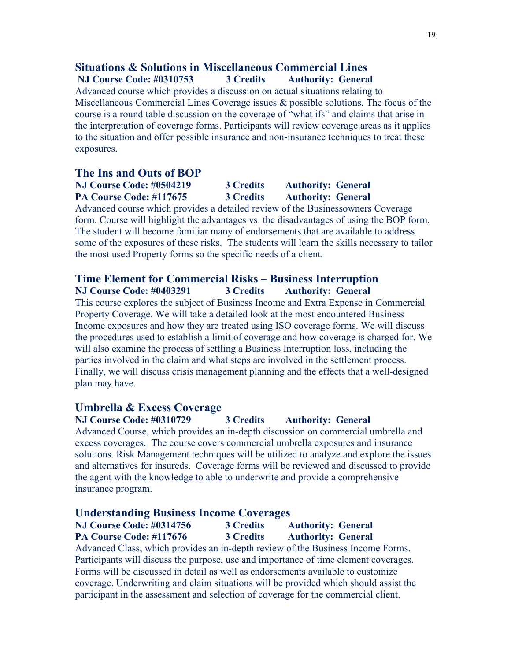# **Situations & Solutions in Miscellaneous Commercial Lines**

# **NJ Course Code: #0310753 3 Credits Authority: General**

Advanced course which provides a discussion on actual situations relating to Miscellaneous Commercial Lines Coverage issues & possible solutions. The focus of the course is a round table discussion on the coverage of "what ifs" and claims that arise in the interpretation of coverage forms. Participants will review coverage areas as it applies to the situation and offer possible insurance and non-insurance techniques to treat these exposures.

### **The Ins and Outs of BOP**

# **NJ Course Code: #0504219 3 Credits Authority: General PA Course Code: #117675 3 Credits Authority: General**

Advanced course which provides a detailed review of the Businessowners Coverage form. Course will highlight the advantages vs. the disadvantages of using the BOP form. The student will become familiar many of endorsements that are available to address some of the exposures of these risks. The students will learn the skills necessary to tailor the most used Property forms so the specific needs of a client.

## **Time Element for Commercial Risks – Business Interruption NJ Course Code: #0403291 3 Credits Authority: General**

This course explores the subject of Business Income and Extra Expense in Commercial Property Coverage. We will take a detailed look at the most encountered Business Income exposures and how they are treated using ISO coverage forms. We will discuss the procedures used to establish a limit of coverage and how coverage is charged for. We will also examine the process of settling a Business Interruption loss, including the parties involved in the claim and what steps are involved in the settlement process. Finally, we will discuss crisis management planning and the effects that a well-designed plan may have.

## **Umbrella & Excess Coverage**

**NJ Course Code: #0310729 3 Credits Authority: General** Advanced Course, which provides an in-depth discussion on commercial umbrella and excess coverages. The course covers commercial umbrella exposures and insurance solutions. Risk Management techniques will be utilized to analyze and explore the issues and alternatives for insureds. Coverage forms will be reviewed and discussed to provide the agent with the knowledge to able to underwrite and provide a comprehensive insurance program.

#### **Understanding Business Income Coverages**

**NJ Course Code: #0314756 3 Credits Authority: General PA Course Code: #117676 3 Credits Authority: General**

Advanced Class, which provides an in-depth review of the Business Income Forms. Participants will discuss the purpose, use and importance of time element coverages. Forms will be discussed in detail as well as endorsements available to customize coverage. Underwriting and claim situations will be provided which should assist the participant in the assessment and selection of coverage for the commercial client.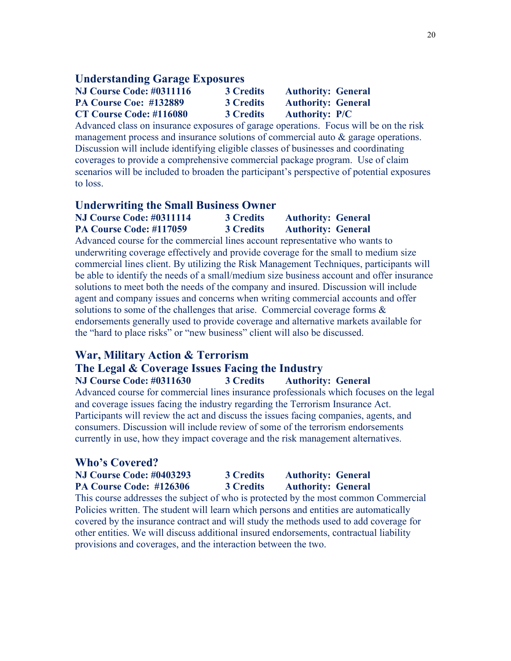### **Understanding Garage Exposures**

| <b>NJ Course Code: #0311116</b> | <b>3 Credits</b> | <b>Authority: General</b> |
|---------------------------------|------------------|---------------------------|
| <b>PA Course Coe: #132889</b>   | <b>3 Credits</b> | <b>Authority: General</b> |
| <b>CT Course Code: #116080</b>  | <b>3 Credits</b> | <b>Authority: P/C</b>     |

Advanced class on insurance exposures of garage operations. Focus will be on the risk management process and insurance solutions of commercial auto & garage operations. Discussion will include identifying eligible classes of businesses and coordinating coverages to provide a comprehensive commercial package program. Use of claim scenarios will be included to broaden the participant's perspective of potential exposures to loss.

### **Underwriting the Small Business Owner**

| <b>NJ Course Code: #0311114</b> | <b>3 Credits</b> | <b>Authority: General</b> |
|---------------------------------|------------------|---------------------------|
| PA Course Code: #117059         | <b>3 Credits</b> | <b>Authority: General</b> |

Advanced course for the commercial lines account representative who wants to underwriting coverage effectively and provide coverage for the small to medium size commercial lines client. By utilizing the Risk Management Techniques, participants will be able to identify the needs of a small/medium size business account and offer insurance solutions to meet both the needs of the company and insured. Discussion will include agent and company issues and concerns when writing commercial accounts and offer solutions to some of the challenges that arise. Commercial coverage forms & endorsements generally used to provide coverage and alternative markets available for the "hard to place risks" or "new business" client will also be discussed.

# **War, Military Action & Terrorism**

## **The Legal & Coverage Issues Facing the Industry**

**NJ Course Code: #0311630 3 Credits Authority: General** Advanced course for commercial lines insurance professionals which focuses on the legal and coverage issues facing the industry regarding the Terrorism Insurance Act. Participants will review the act and discuss the issues facing companies, agents, and consumers. Discussion will include review of some of the terrorism endorsements currently in use, how they impact coverage and the risk management alternatives.

# **Who's Covered?**

| <b>NJ Course Code: #0403293</b> | <b>3 Credits</b> | <b>Authority: General</b> |
|---------------------------------|------------------|---------------------------|
| PA Course Code: #126306         | <b>3 Credits</b> | <b>Authority: General</b> |

This course addresses the subject of who is protected by the most common Commercial Policies written. The student will learn which persons and entities are automatically covered by the insurance contract and will study the methods used to add coverage for other entities. We will discuss additional insured endorsements, contractual liability provisions and coverages, and the interaction between the two.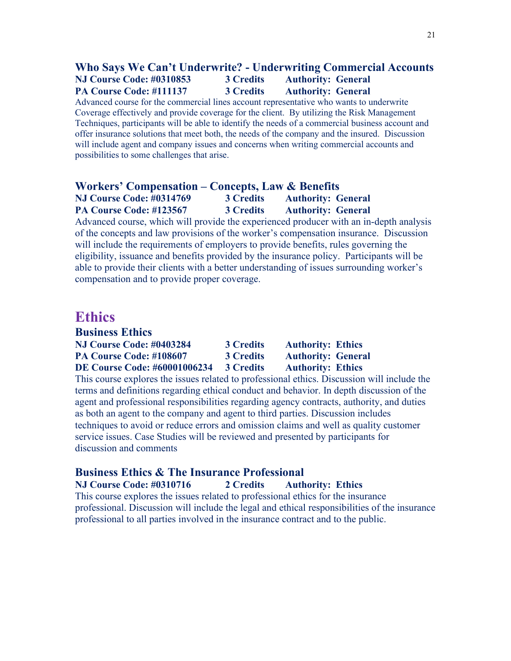## **Who Says We Can't Underwrite? - Underwriting Commercial Accounts NJ Course Code: #0310853 3 Credits Authority: General PA Course Code: #111137 3 Credits Authority: General**

Advanced course for the commercial lines account representative who wants to underwrite Coverage effectively and provide coverage for the client. By utilizing the Risk Management Techniques, participants will be able to identify the needs of a commercial business account and offer insurance solutions that meet both, the needs of the company and the insured. Discussion will include agent and company issues and concerns when writing commercial accounts and possibilities to some challenges that arise.

## **Workers' Compensation – Concepts, Law & Benefits NJ Course Code: #0314769 3 Credits Authority: General PA Course Code: #123567 3 Credits Authority: General**

Advanced course, which will provide the experienced producer with an in-depth analysis of the concepts and law provisions of the worker's compensation insurance. Discussion will include the requirements of employers to provide benefits, rules governing the eligibility, issuance and benefits provided by the insurance policy. Participants will be able to provide their clients with a better understanding of issues surrounding worker's compensation and to provide proper coverage.

# **Ethics**

| <b>Business Ethics</b> |  |  |
|------------------------|--|--|
|                        |  |  |

| <b>NJ Course Code: #0403284</b>     | <b>3 Credits</b> | <b>Authority: Ethics</b>  |
|-------------------------------------|------------------|---------------------------|
| PA Course Code: #108607             | <b>3 Credits</b> | <b>Authority: General</b> |
| <b>DE Course Code: #60001006234</b> | <b>3 Credits</b> | <b>Authority: Ethics</b>  |

This course explores the issues related to professional ethics. Discussion will include the terms and definitions regarding ethical conduct and behavior. In depth discussion of the agent and professional responsibilities regarding agency contracts, authority, and duties as both an agent to the company and agent to third parties. Discussion includes techniques to avoid or reduce errors and omission claims and well as quality customer service issues. Case Studies will be reviewed and presented by participants for discussion and comments

# **Business Ethics & The Insurance Professional**

**NJ Course Code: #0310716 2 Credits Authority: Ethics** This course explores the issues related to professional ethics for the insurance professional. Discussion will include the legal and ethical responsibilities of the insurance professional to all parties involved in the insurance contract and to the public.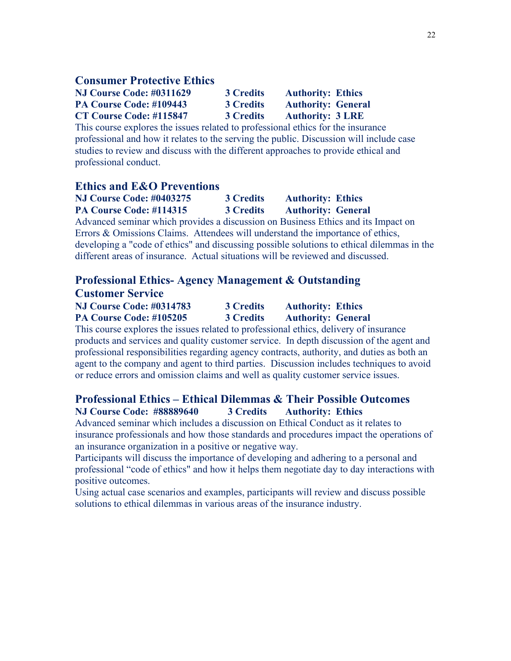#### **Consumer Protective Ethics**

| <b>NJ Course Code: #0311629</b> | <b>3 Credits</b> | <b>Authority: Ethics</b>  |  |
|---------------------------------|------------------|---------------------------|--|
| PA Course Code: #109443         | <b>3 Credits</b> | <b>Authority: General</b> |  |
| CT Course Code: #115847         | <b>3 Credits</b> | <b>Authority: 3 LRE</b>   |  |

This course explores the issues related to professional ethics for the insurance professional and how it relates to the serving the public. Discussion will include case studies to review and discuss with the different approaches to provide ethical and professional conduct.

### **Ethics and E&O Preventions**

| <b>NJ Course Code: #0403275</b> |  | <b>3 Credits</b> |  | <b>Authority: Ethics</b>                                        |  |
|---------------------------------|--|------------------|--|-----------------------------------------------------------------|--|
| PA Course Code: #114315         |  | <b>3 Credits</b> |  | <b>Authority: General</b>                                       |  |
|                                 |  |                  |  | $\mathbf{r}$ and $\mathbf{r}$ and $\mathbf{r}$ and $\mathbf{r}$ |  |

Advanced seminar which provides a discussion on Business Ethics and its Impact on Errors & Omissions Claims. Attendees will understand the importance of ethics, developing a "code of ethics" and discussing possible solutions to ethical dilemmas in the different areas of insurance. Actual situations will be reviewed and discussed.

#### **Professional Ethics- Agency Management & Outstanding Customer Service**

| Castomer Service                |                  |                           |  |  |  |  |  |
|---------------------------------|------------------|---------------------------|--|--|--|--|--|
| <b>NJ Course Code: #0314783</b> | <b>3 Credits</b> | <b>Authority: Ethics</b>  |  |  |  |  |  |
| PA Course Code: #105205         | <b>3 Credits</b> | <b>Authority: General</b> |  |  |  |  |  |

This course explores the issues related to professional ethics, delivery of insurance products and services and quality customer service. In depth discussion of the agent and professional responsibilities regarding agency contracts, authority, and duties as both an agent to the company and agent to third parties. Discussion includes techniques to avoid or reduce errors and omission claims and well as quality customer service issues.

## **Professional Ethics – Ethical Dilemmas & Their Possible Outcomes NJ Course Code: #88889640 3 Credits Authority: Ethics**

Advanced seminar which includes a discussion on Ethical Conduct as it relates to insurance professionals and how those standards and procedures impact the operations of an insurance organization in a positive or negative way.

Participants will discuss the importance of developing and adhering to a personal and professional "code of ethics" and how it helps them negotiate day to day interactions with positive outcomes.

Using actual case scenarios and examples, participants will review and discuss possible solutions to ethical dilemmas in various areas of the insurance industry.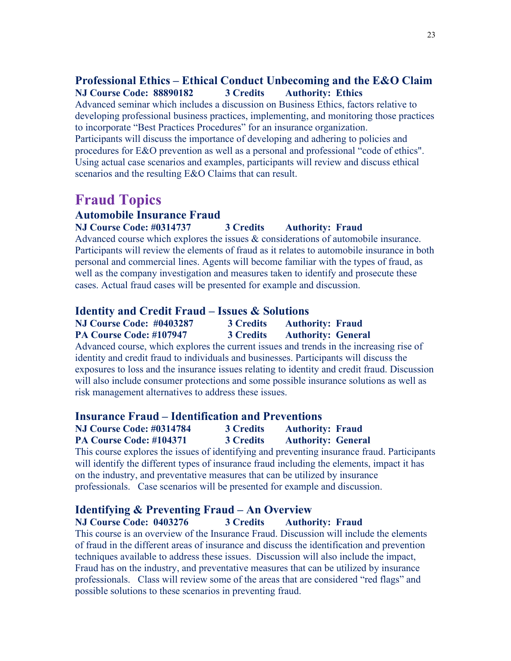# **Professional Ethics – Ethical Conduct Unbecoming and the E&O Claim NJ Course Code: 88890182 3 Credits Authority: Ethics**

Advanced seminar which includes a discussion on Business Ethics, factors relative to developing professional business practices, implementing, and monitoring those practices to incorporate "Best Practices Procedures" for an insurance organization. Participants will discuss the importance of developing and adhering to policies and procedures for E&O prevention as well as a personal and professional "code of ethics". Using actual case scenarios and examples, participants will review and discuss ethical scenarios and the resulting E&O Claims that can result.

# **Fraud Topics**

## **Automobile Insurance Fraud**

### **NJ Course Code: #0314737 3 Credits Authority: Fraud**

Advanced course which explores the issues & considerations of automobile insurance. Participants will review the elements of fraud as it relates to automobile insurance in both personal and commercial lines. Agents will become familiar with the types of fraud, as well as the company investigation and measures taken to identify and prosecute these cases. Actual fraud cases will be presented for example and discussion.

#### **Identity and Credit Fraud – Issues & Solutions**

| <b>NJ Course Code: #0403287</b> | <b>3 Credits</b> | <b>Authority: Fraud</b>   |
|---------------------------------|------------------|---------------------------|
| PA Course Code: #107947         | <b>3 Credits</b> | <b>Authority: General</b> |

Advanced course, which explores the current issues and trends in the increasing rise of identity and credit fraud to individuals and businesses. Participants will discuss the exposures to loss and the insurance issues relating to identity and credit fraud. Discussion will also include consumer protections and some possible insurance solutions as well as risk management alternatives to address these issues.

#### **Insurance Fraud – Identification and Preventions**

| <b>NJ Course Code: #0314784</b> | <b>3 Credits</b> | <b>Authority: Fraud</b>   |  |
|---------------------------------|------------------|---------------------------|--|
| PA Course Code: #104371         | <b>3 Credits</b> | <b>Authority: General</b> |  |

This course explores the issues of identifying and preventing insurance fraud. Participants will identify the different types of insurance fraud including the elements, impact it has on the industry, and preventative measures that can be utilized by insurance professionals. Case scenarios will be presented for example and discussion.

#### **Identifying & Preventing Fraud – An Overview**

**NJ Course Code: 0403276 3 Credits Authority: Fraud**

This course is an overview of the Insurance Fraud. Discussion will include the elements of fraud in the different areas of insurance and discuss the identification and prevention techniques available to address these issues. Discussion will also include the impact, Fraud has on the industry, and preventative measures that can be utilized by insurance professionals. Class will review some of the areas that are considered "red flags" and possible solutions to these scenarios in preventing fraud.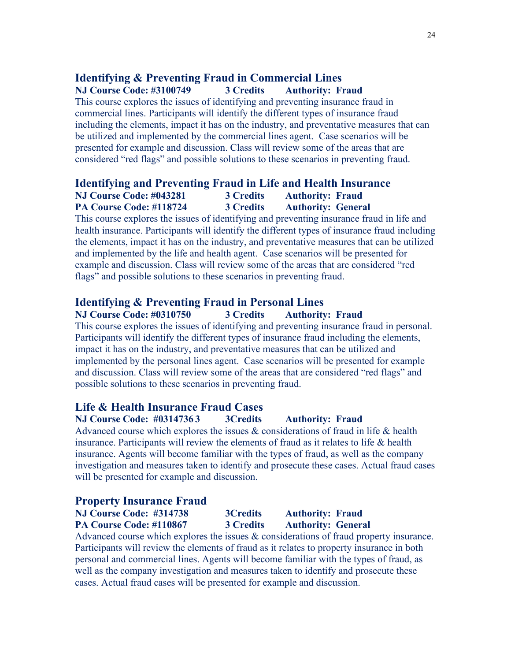# **Identifying & Preventing Fraud in Commercial Lines NJ Course Code: #3100749 3 Credits Authority: Fraud**

This course explores the issues of identifying and preventing insurance fraud in commercial lines. Participants will identify the different types of insurance fraud including the elements, impact it has on the industry, and preventative measures that can be utilized and implemented by the commercial lines agent. Case scenarios will be presented for example and discussion. Class will review some of the areas that are considered "red flags" and possible solutions to these scenarios in preventing fraud.

# **Identifying and Preventing Fraud in Life and Health Insurance NJ Course Code: #043281 3 Credits Authority: Fraud PA Course Code: #118724 3 Credits Authority: General**

This course explores the issues of identifying and preventing insurance fraud in life and health insurance. Participants will identify the different types of insurance fraud including the elements, impact it has on the industry, and preventative measures that can be utilized and implemented by the life and health agent. Case scenarios will be presented for example and discussion. Class will review some of the areas that are considered "red flags" and possible solutions to these scenarios in preventing fraud.

# **Identifying & Preventing Fraud in Personal Lines**

**NJ Course Code: #0310750 3 Credits Authority: Fraud** This course explores the issues of identifying and preventing insurance fraud in personal. Participants will identify the different types of insurance fraud including the elements, impact it has on the industry, and preventative measures that can be utilized and implemented by the personal lines agent. Case scenarios will be presented for example and discussion. Class will review some of the areas that are considered "red flags" and possible solutions to these scenarios in preventing fraud.

# **Life & Health Insurance Fraud Cases**

**NJ Course Code: #0314736 3 3Credits Authority: Fraud** Advanced course which explores the issues & considerations of fraud in life & health insurance. Participants will review the elements of fraud as it relates to life & health insurance. Agents will become familiar with the types of fraud, as well as the company investigation and measures taken to identify and prosecute these cases. Actual fraud cases will be presented for example and discussion.

## **Property Insurance Fraud**

| NJ Course Code: #314738 | <b>3Credits</b>  | <b>Authority: Fraud</b>   |
|-------------------------|------------------|---------------------------|
| PA Course Code: #110867 | <b>3 Credits</b> | <b>Authority: General</b> |
|                         |                  |                           |

Advanced course which explores the issues & considerations of fraud property insurance. Participants will review the elements of fraud as it relates to property insurance in both personal and commercial lines. Agents will become familiar with the types of fraud, as well as the company investigation and measures taken to identify and prosecute these cases. Actual fraud cases will be presented for example and discussion.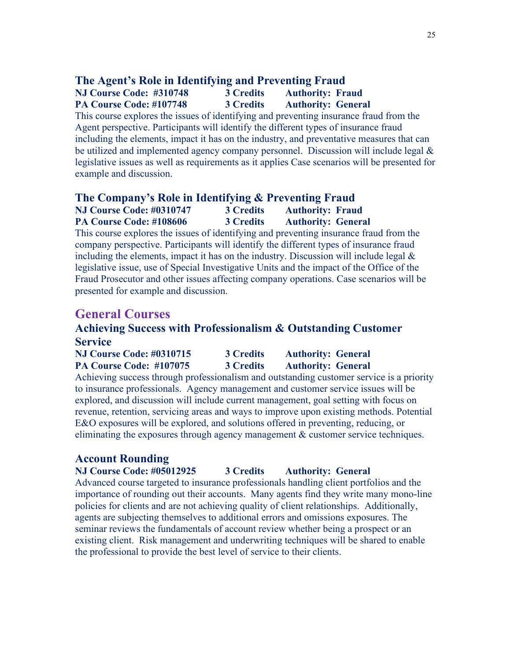# **The Agent's Role in Identifying and Preventing Fraud**

## **NJ Course Code: #310748 3 Credits Authority: Fraud PA Course Code: #107748 3 Credits Authority: General**

This course explores the issues of identifying and preventing insurance fraud from the Agent perspective. Participants will identify the different types of insurance fraud including the elements, impact it has on the industry, and preventative measures that can be utilized and implemented agency company personnel. Discussion will include legal & legislative issues as well as requirements as it applies Case scenarios will be presented for example and discussion.

#### **The Company's Role in Identifying & Preventing Fraud NJ Course Code: #0310747 3 Credits Authority: Fraud PA Course Code: #108606 3 Credits Authority: General**

This course explores the issues of identifying and preventing insurance fraud from the company perspective. Participants will identify the different types of insurance fraud including the elements, impact it has on the industry. Discussion will include legal  $\&$ legislative issue, use of Special Investigative Units and the impact of the Office of the Fraud Prosecutor and other issues affecting company operations. Case scenarios will be presented for example and discussion.

# **General Courses**

# **Achieving Success with Professionalism & Outstanding Customer Service**

| <b>NJ Course Code: #0310715</b> | <b>3 Credits</b> | <b>Authority: General</b> |
|---------------------------------|------------------|---------------------------|
| PA Course Code: #107075         | <b>3 Credits</b> | <b>Authority: General</b> |

Achieving success through professionalism and outstanding customer service is a priority to insurance professionals. Agency management and customer service issues will be explored, and discussion will include current management, goal setting with focus on revenue, retention, servicing areas and ways to improve upon existing methods. Potential E&O exposures will be explored, and solutions offered in preventing, reducing, or eliminating the exposures through agency management & customer service techniques.

# **Account Rounding**

## **NJ Course Code: #05012925 3 Credits Authority: General**

Advanced course targeted to insurance professionals handling client portfolios and the importance of rounding out their accounts. Many agents find they write many mono-line policies for clients and are not achieving quality of client relationships. Additionally, agents are subjecting themselves to additional errors and omissions exposures. The seminar reviews the fundamentals of account review whether being a prospect or an existing client. Risk management and underwriting techniques will be shared to enable the professional to provide the best level of service to their clients.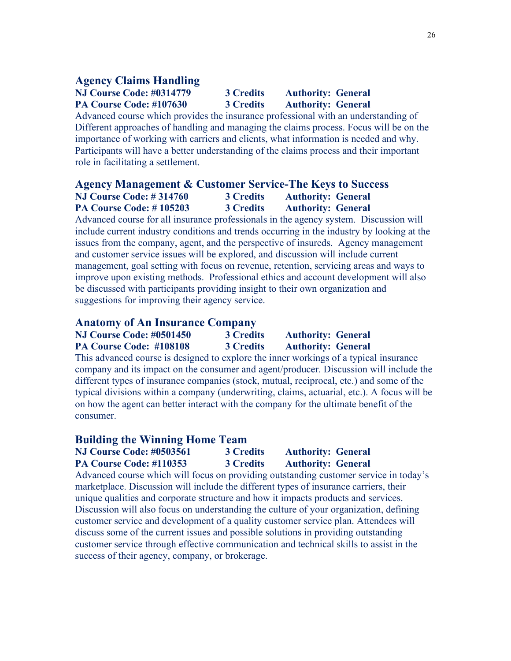### **Agency Claims Handling**

## **NJ Course Code: #0314779 3 Credits Authority: General PA Course Code: #107630 3 Credits Authority: General**

Advanced course which provides the insurance professional with an understanding of Different approaches of handling and managing the claims process. Focus will be on the importance of working with carriers and clients, what information is needed and why. Participants will have a better understanding of the claims process and their important role in facilitating a settlement.

# **Agency Management & Customer Service-The Keys to Success NJ Course Code: # 314760 3 Credits Authority: General PA Course Code: # 105203 3 Credits Authority: General**

Advanced course for all insurance professionals in the agency system. Discussion will include current industry conditions and trends occurring in the industry by looking at the issues from the company, agent, and the perspective of insureds. Agency management and customer service issues will be explored, and discussion will include current management, goal setting with focus on revenue, retention, servicing areas and ways to improve upon existing methods. Professional ethics and account development will also be discussed with participants providing insight to their own organization and suggestions for improving their agency service.

## **Anatomy of An Insurance Company**

| <b>NJ Course Code: #0501450</b> | <b>3 Credits</b> | <b>Authority: General</b> |
|---------------------------------|------------------|---------------------------|
| PA Course Code: #108108         | <b>3 Credits</b> | <b>Authority: General</b> |

This advanced course is designed to explore the inner workings of a typical insurance company and its impact on the consumer and agent/producer. Discussion will include the different types of insurance companies (stock, mutual, reciprocal, etc.) and some of the typical divisions within a company (underwriting, claims, actuarial, etc.). A focus will be on how the agent can better interact with the company for the ultimate benefit of the consumer.

#### **Building the Winning Home Team**

| <b>NJ Course Code: #0503561</b> | <b>3 Credits</b> | <b>Authority: General</b> |
|---------------------------------|------------------|---------------------------|
| <b>PA Course Code: #110353</b>  | <b>3 Credits</b> | <b>Authority: General</b> |

Advanced course which will focus on providing outstanding customer service in today's marketplace. Discussion will include the different types of insurance carriers, their unique qualities and corporate structure and how it impacts products and services. Discussion will also focus on understanding the culture of your organization, defining customer service and development of a quality customer service plan. Attendees will discuss some of the current issues and possible solutions in providing outstanding customer service through effective communication and technical skills to assist in the success of their agency, company, or brokerage.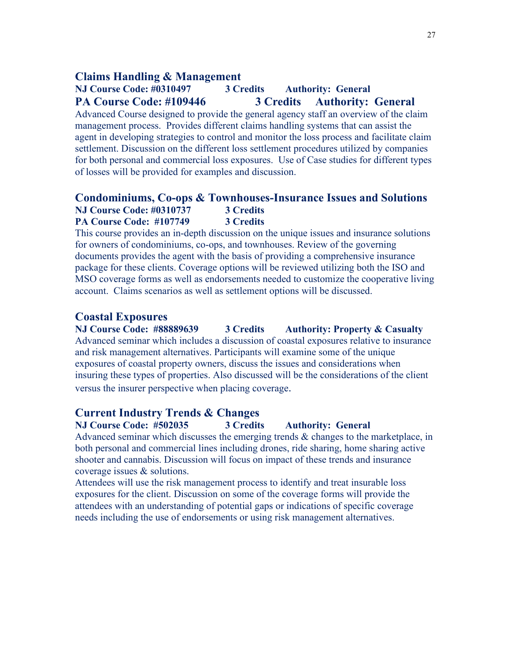#### **Claims Handling & Management**

# **NJ Course Code: #0310497 3 Credits Authority: General PA Course Code: #109446 3 Credits Authority: General**

Advanced Course designed to provide the general agency staff an overview of the claim management process. Provides different claims handling systems that can assist the agent in developing strategies to control and monitor the loss process and facilitate claim settlement. Discussion on the different loss settlement procedures utilized by companies for both personal and commercial loss exposures. Use of Case studies for different types of losses will be provided for examples and discussion.

#### **Condominiums, Co-ops & Townhouses-Insurance Issues and Solutions NJ Course Code: #0310737 3 Credits PA Course Code: #107749 3 Credits**

This course provides an in-depth discussion on the unique issues and insurance solutions for owners of condominiums, co-ops, and townhouses. Review of the governing documents provides the agent with the basis of providing a comprehensive insurance package for these clients. Coverage options will be reviewed utilizing both the ISO and MSO coverage forms as well as endorsements needed to customize the cooperative living account. Claims scenarios as well as settlement options will be discussed.

#### **Coastal Exposures**

#### **NJ Course Code: #88889639 3 Credits Authority: Property & Casualty** Advanced seminar which includes a discussion of coastal exposures relative to insurance and risk management alternatives. Participants will examine some of the unique exposures of coastal property owners, discuss the issues and considerations when insuring these types of properties. Also discussed will be the considerations of the client

versus the insurer perspective when placing coverage.

## **Current Industry Trends & Changes**

### **NJ Course Code: #502035 3 Credits Authority: General** Advanced seminar which discusses the emerging trends & changes to the marketplace, in both personal and commercial lines including drones, ride sharing, home sharing active shooter and cannabis. Discussion will focus on impact of these trends and insurance coverage issues & solutions.

Attendees will use the risk management process to identify and treat insurable loss exposures for the client. Discussion on some of the coverage forms will provide the attendees with an understanding of potential gaps or indications of specific coverage needs including the use of endorsements or using risk management alternatives.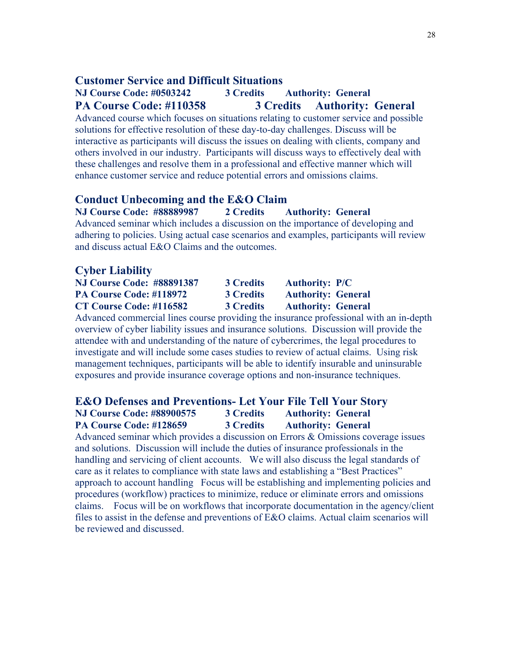### **Customer Service and Difficult Situations**

# **NJ Course Code: #0503242 3 Credits Authority: General PA Course Code: #110358 3 Credits Authority: General**

Advanced course which focuses on situations relating to customer service and possible solutions for effective resolution of these day-to-day challenges. Discuss will be interactive as participants will discuss the issues on dealing with clients, company and others involved in our industry. Participants will discuss ways to effectively deal with these challenges and resolve them in a professional and effective manner which will enhance customer service and reduce potential errors and omissions claims.

#### **Conduct Unbecoming and the E&O Claim**

**NJ Course Code: #88889987 2 Credits Authority: General** Advanced seminar which includes a discussion on the importance of developing and adhering to policies. Using actual case scenarios and examples, participants will review and discuss actual E&O Claims and the outcomes.

### **Cyber Liability**

| <b>NJ Course Code: #88891387</b> | <b>3 Credits</b> | <b>Authority: P/C</b>     |
|----------------------------------|------------------|---------------------------|
| PA Course Code: #118972          | <b>3 Credits</b> | <b>Authority: General</b> |
| CT Course Code: #116582          | <b>3 Credits</b> | <b>Authority: General</b> |

Advanced commercial lines course providing the insurance professional with an in-depth overview of cyber liability issues and insurance solutions. Discussion will provide the attendee with and understanding of the nature of cybercrimes, the legal procedures to investigate and will include some cases studies to review of actual claims. Using risk management techniques, participants will be able to identify insurable and uninsurable exposures and provide insurance coverage options and non-insurance techniques.

# **E&O Defenses and Preventions- Let Your File Tell Your Story NJ Course Code: #88900575 3 Credits Authority: General PA Course Code: #128659 3 Credits Authority: General**

Advanced seminar which provides a discussion on Errors & Omissions coverage issues and solutions. Discussion will include the duties of insurance professionals in the handling and servicing of client accounts. We will also discuss the legal standards of care as it relates to compliance with state laws and establishing a "Best Practices" approach to account handling Focus will be establishing and implementing policies and procedures (workflow) practices to minimize, reduce or eliminate errors and omissions claims. Focus will be on workflows that incorporate documentation in the agency/client files to assist in the defense and preventions of E&O claims. Actual claim scenarios will be reviewed and discussed.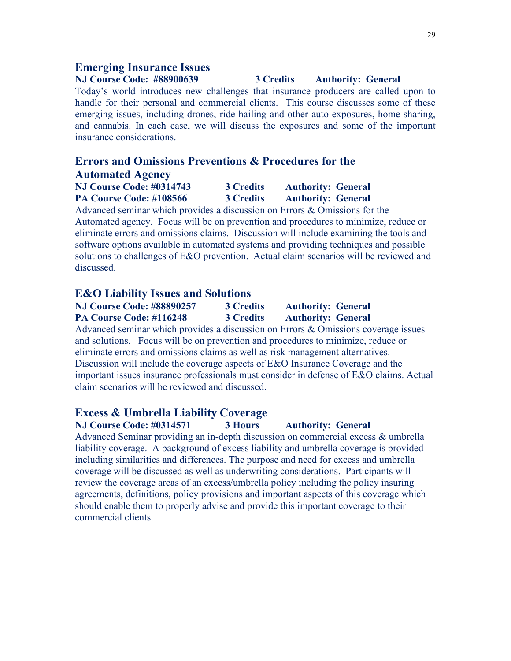#### **Emerging Insurance Issues**

## **NJ Course Code: #88900639 3 Credits Authority: General** Today's world introduces new challenges that insurance producers are called upon to handle for their personal and commercial clients. This course discusses some of these emerging issues, including drones, ride-hailing and other auto exposures, home-sharing, and cannabis. In each case, we will discuss the exposures and some of the important insurance considerations.

# **Errors and Omissions Preventions & Procedures for the Automated Agency**

| <b>NJ Course Code: #0314743</b> | <b>3 Credits</b> | <b>Authority: General</b> |
|---------------------------------|------------------|---------------------------|
| PA Course Code: #108566         | <b>3 Credits</b> | <b>Authority: General</b> |

Advanced seminar which provides a discussion on Errors & Omissions for the Automated agency. Focus will be on prevention and procedures to minimize, reduce or eliminate errors and omissions claims. Discussion will include examining the tools and software options available in automated systems and providing techniques and possible solutions to challenges of E&O prevention. Actual claim scenarios will be reviewed and discussed.

#### **E&O Liability Issues and Solutions**

**NJ Course Code: #88890257 3 Credits Authority: General PA Course Code: #116248 3 Credits Authority: General** Advanced seminar which provides a discussion on Errors & Omissions coverage issues and solutions. Focus will be on prevention and procedures to minimize, reduce or eliminate errors and omissions claims as well as risk management alternatives. Discussion will include the coverage aspects of E&O Insurance Coverage and the important issues insurance professionals must consider in defense of E&O claims. Actual claim scenarios will be reviewed and discussed.

## **Excess & Umbrella Liability Coverage**

**NJ Course Code: #0314571 3 Hours Authority: General** Advanced Seminar providing an in-depth discussion on commercial excess & umbrella liability coverage. A background of excess liability and umbrella coverage is provided including similarities and differences. The purpose and need for excess and umbrella coverage will be discussed as well as underwriting considerations. Participants will review the coverage areas of an excess/umbrella policy including the policy insuring agreements, definitions, policy provisions and important aspects of this coverage which should enable them to properly advise and provide this important coverage to their commercial clients.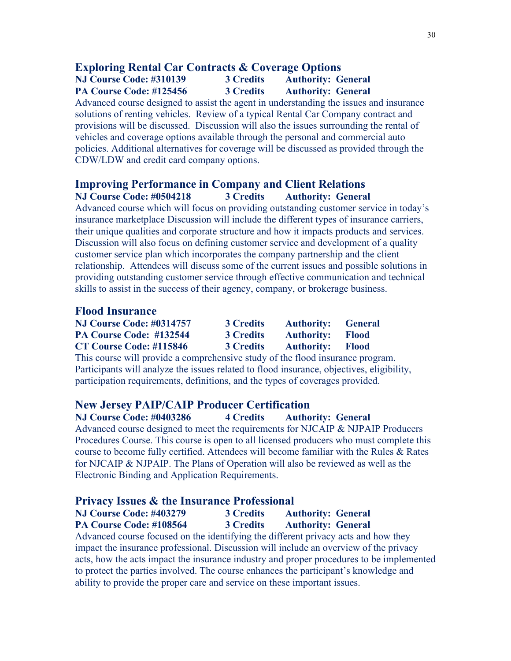## **Exploring Rental Car Contracts & Coverage Options NJ Course Code: #310139 3 Credits Authority: General**

**PA Course Code: #125456 3 Credits Authority: General**

Advanced course designed to assist the agent in understanding the issues and insurance solutions of renting vehicles. Review of a typical Rental Car Company contract and provisions will be discussed. Discussion will also the issues surrounding the rental of vehicles and coverage options available through the personal and commercial auto policies. Additional alternatives for coverage will be discussed as provided through the CDW/LDW and credit card company options.

## **Improving Performance in Company and Client Relations NJ Course Code: #0504218 3 Credits Authority: General**

Advanced course which will focus on providing outstanding customer service in today's insurance marketplace Discussion will include the different types of insurance carriers, their unique qualities and corporate structure and how it impacts products and services. Discussion will also focus on defining customer service and development of a quality customer service plan which incorporates the company partnership and the client relationship. Attendees will discuss some of the current issues and possible solutions in providing outstanding customer service through effective communication and technical skills to assist in the success of their agency, company, or brokerage business.

## **Flood Insurance**

| <b>NJ Course Code: #0314757</b> | <b>3 Credits</b> | <b>Authority:</b> General |  |
|---------------------------------|------------------|---------------------------|--|
| PA Course Code: #132544         | <b>3 Credits</b> | <b>Authority:</b> Flood   |  |
| CT Course Code: #115846         | <b>3 Credits</b> | <b>Authority:</b> Flood   |  |

This course will provide a comprehensive study of the flood insurance program. Participants will analyze the issues related to flood insurance, objectives, eligibility, participation requirements, definitions, and the types of coverages provided.

## **New Jersey PAIP/CAIP Producer Certification**

**NJ Course Code: #0403286 4 Credits Authority: General** Advanced course designed to meet the requirements for NJCAIP & NJPAIP Producers Procedures Course. This course is open to all licensed producers who must complete this course to become fully certified. Attendees will become familiar with the Rules & Rates for NJCAIP & NJPAIP. The Plans of Operation will also be reviewed as well as the Electronic Binding and Application Requirements.

#### **Privacy Issues & the Insurance Professional**

|   | <b>NJ Course Code: #403279</b> |  |  | <b>3 Credits</b> |  |  | <b>Authority: General</b>                                                                                       |  |
|---|--------------------------------|--|--|------------------|--|--|-----------------------------------------------------------------------------------------------------------------|--|
|   | PA Course Code: #108564        |  |  | <b>3 Credits</b> |  |  | <b>Authority: General</b>                                                                                       |  |
| . |                                |  |  |                  |  |  | the contract of the contract of the contract of the contract of the contract of the contract of the contract of |  |

Advanced course focused on the identifying the different privacy acts and how they impact the insurance professional. Discussion will include an overview of the privacy acts, how the acts impact the insurance industry and proper procedures to be implemented to protect the parties involved. The course enhances the participant's knowledge and ability to provide the proper care and service on these important issues.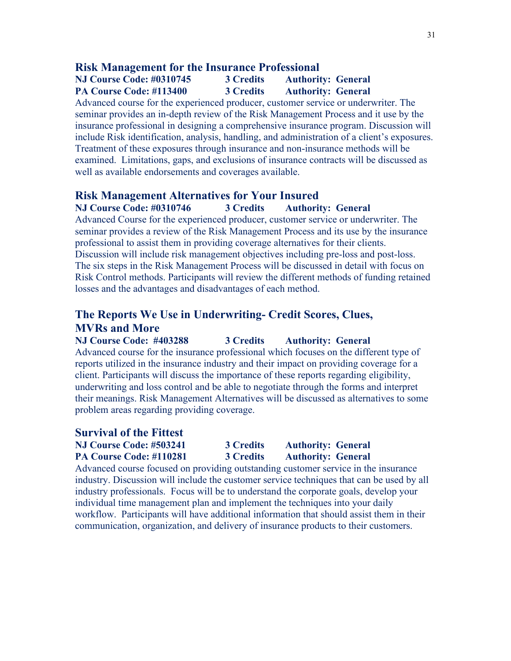### **Risk Management for the Insurance Professional**

## **NJ Course Code: #0310745 3 Credits Authority: General PA Course Code: #113400 3 Credits Authority: General**

Advanced course for the experienced producer, customer service or underwriter. The seminar provides an in-depth review of the Risk Management Process and it use by the insurance professional in designing a comprehensive insurance program. Discussion will include Risk identification, analysis, handling, and administration of a client's exposures. Treatment of these exposures through insurance and non-insurance methods will be examined. Limitations, gaps, and exclusions of insurance contracts will be discussed as well as available endorsements and coverages available.

#### **Risk Management Alternatives for Your Insured**

**NJ Course Code: #0310746 3 Credits Authority: General**

Advanced Course for the experienced producer, customer service or underwriter. The seminar provides a review of the Risk Management Process and its use by the insurance professional to assist them in providing coverage alternatives for their clients. Discussion will include risk management objectives including pre-loss and post-loss. The six steps in the Risk Management Process will be discussed in detail with focus on Risk Control methods. Participants will review the different methods of funding retained losses and the advantages and disadvantages of each method.

# **The Reports We Use in Underwriting- Credit Scores, Clues, MVRs and More**

**NJ Course Code: #403288 3 Credits Authority: General** Advanced course for the insurance professional which focuses on the different type of reports utilized in the insurance industry and their impact on providing coverage for a client. Participants will discuss the importance of these reports regarding eligibility, underwriting and loss control and be able to negotiate through the forms and interpret their meanings. Risk Management Alternatives will be discussed as alternatives to some problem areas regarding providing coverage.

#### **Survival of the Fittest**

**NJ Course Code: #503241 3 Credits Authority: General PA Course Code: #110281 3 Credits Authority: General**

Advanced course focused on providing outstanding customer service in the insurance industry. Discussion will include the customer service techniques that can be used by all industry professionals. Focus will be to understand the corporate goals, develop your individual time management plan and implement the techniques into your daily workflow. Participants will have additional information that should assist them in their communication, organization, and delivery of insurance products to their customers.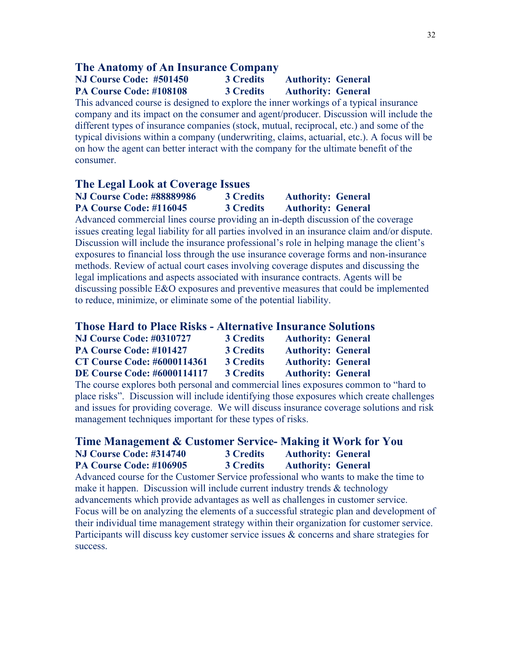#### **The Anatomy of An Insurance Company**

## **NJ Course Code: #501450 3 Credits Authority: General PA Course Code: #108108 3 Credits Authority: General**

This advanced course is designed to explore the inner workings of a typical insurance company and its impact on the consumer and agent/producer. Discussion will include the different types of insurance companies (stock, mutual, reciprocal, etc.) and some of the typical divisions within a company (underwriting, claims, actuarial, etc.). A focus will be on how the agent can better interact with the company for the ultimate benefit of the consumer.

#### **The Legal Look at Coverage Issues**

**NJ Course Code: #88889986 3 Credits Authority: General PA Course Code: #116045 3 Credits Authority: General**

Advanced commercial lines course providing an in-depth discussion of the coverage issues creating legal liability for all parties involved in an insurance claim and/or dispute. Discussion will include the insurance professional's role in helping manage the client's exposures to financial loss through the use insurance coverage forms and non-insurance methods. Review of actual court cases involving coverage disputes and discussing the legal implications and aspects associated with insurance contracts. Agents will be discussing possible E&O exposures and preventive measures that could be implemented to reduce, minimize, or eliminate some of the potential liability.

#### **Those Hard to Place Risks - Alternative Insurance Solutions**

| <b>NJ Course Code: #0310727</b>    | <b>3 Credits</b> | <b>Authority: General</b> |
|------------------------------------|------------------|---------------------------|
| PA Course Code: #101427            | <b>3 Credits</b> | <b>Authority: General</b> |
| <b>CT Course Code: #6000114361</b> | <b>3 Credits</b> | <b>Authority: General</b> |
| <b>DE Course Code: #6000114117</b> | <b>3 Credits</b> | <b>Authority: General</b> |

The course explores both personal and commercial lines exposures common to "hard to place risks". Discussion will include identifying those exposures which create challenges and issues for providing coverage. We will discuss insurance coverage solutions and risk management techniques important for these types of risks.

#### **Time Management & Customer Service- Making it Work for You NJ Course Code: #314740 3 Credits Authority: General PA Course Code: #106905 3 Credits Authority: General**

Advanced course for the Customer Service professional who wants to make the time to make it happen. Discussion will include current industry trends & technology advancements which provide advantages as well as challenges in customer service. Focus will be on analyzing the elements of a successful strategic plan and development of their individual time management strategy within their organization for customer service. Participants will discuss key customer service issues & concerns and share strategies for success.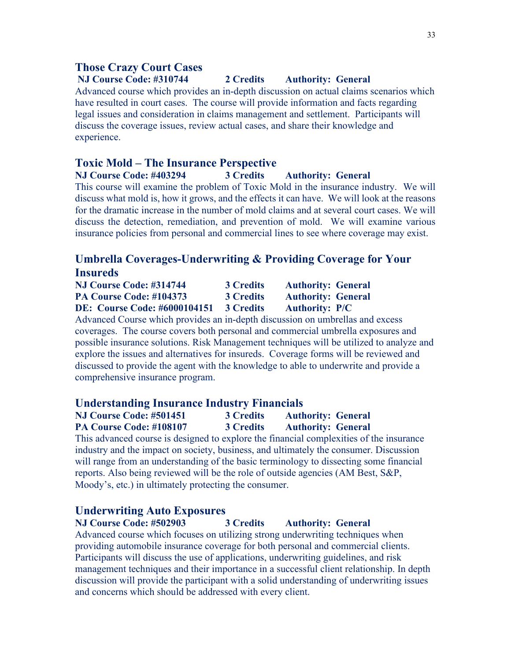## **Those Crazy Court Cases**

## **NJ Course Code: #310744 2 Credits Authority: General**

Advanced course which provides an in-depth discussion on actual claims scenarios which have resulted in court cases. The course will provide information and facts regarding legal issues and consideration in claims management and settlement. Participants will discuss the coverage issues, review actual cases, and share their knowledge and experience.

## **Toxic Mold – The Insurance Perspective**

#### **NJ Course Code: #403294 3 Credits Authority: General**

This course will examine the problem of Toxic Mold in the insurance industry. We will discuss what mold is, how it grows, and the effects it can have. We will look at the reasons for the dramatic increase in the number of mold claims and at several court cases. We will discuss the detection, remediation, and prevention of mold. We will examine various insurance policies from personal and commercial lines to see where coverage may exist.

# **Umbrella Coverages-Underwriting & Providing Coverage for Your Insureds**

| NJ Course Code: #314744             | <b>3 Credits</b> | <b>Authority: General</b> |
|-------------------------------------|------------------|---------------------------|
| PA Course Code: #104373             | <b>3 Credits</b> | <b>Authority: General</b> |
| <b>DE: Course Code: #6000104151</b> | <b>3 Credits</b> | <b>Authority: P/C</b>     |

Advanced Course which provides an in-depth discussion on umbrellas and excess coverages. The course covers both personal and commercial umbrella exposures and possible insurance solutions. Risk Management techniques will be utilized to analyze and explore the issues and alternatives for insureds. Coverage forms will be reviewed and discussed to provide the agent with the knowledge to able to underwrite and provide a comprehensive insurance program.

#### **Understanding Insurance Industry Financials**

| <b>NJ Course Code: #501451</b> | <b>3 Credits</b> | <b>Authority: General</b> |
|--------------------------------|------------------|---------------------------|
| <b>PA Course Code: #108107</b> | <b>3 Credits</b> | <b>Authority: General</b> |

This advanced course is designed to explore the financial complexities of the insurance industry and the impact on society, business, and ultimately the consumer. Discussion will range from an understanding of the basic terminology to dissecting some financial reports. Also being reviewed will be the role of outside agencies (AM Best, S&P, Moody's, etc.) in ultimately protecting the consumer.

## **Underwriting Auto Exposures**

**NJ Course Code: #502903 3 Credits Authority: General** Advanced course which focuses on utilizing strong underwriting techniques when providing automobile insurance coverage for both personal and commercial clients. Participants will discuss the use of applications, underwriting guidelines, and risk management techniques and their importance in a successful client relationship. In depth discussion will provide the participant with a solid understanding of underwriting issues and concerns which should be addressed with every client.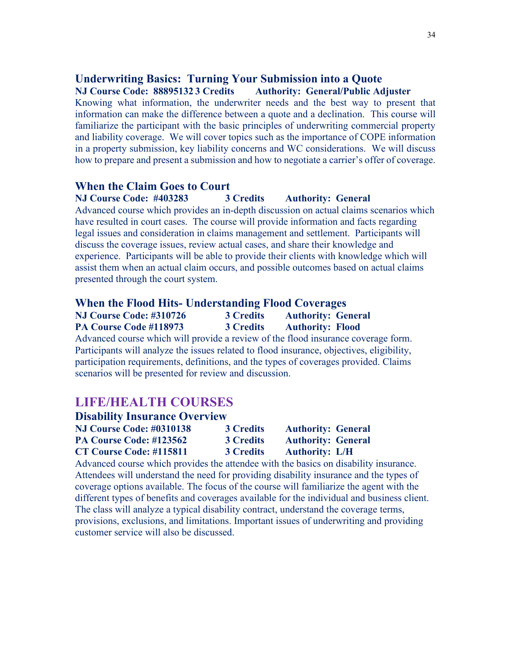#### **Underwriting Basics: Turning Your Submission into a Quote NJ Course Code: 88895132 3 Credits Authority: General/Public Adjuster**

Knowing what information, the underwriter needs and the best way to present that information can make the difference between a quote and a declination. This course will familiarize the participant with the basic principles of underwriting commercial property and liability coverage. We will cover topics such as the importance of COPE information in a property submission, key liability concerns and WC considerations. We will discuss how to prepare and present a submission and how to negotiate a carrier's offer of coverage.

#### **When the Claim Goes to Court**

#### **NJ Course Code: #403283 3 Credits Authority: General**

Advanced course which provides an in-depth discussion on actual claims scenarios which have resulted in court cases. The course will provide information and facts regarding legal issues and consideration in claims management and settlement. Participants will discuss the coverage issues, review actual cases, and share their knowledge and experience. Participants will be able to provide their clients with knowledge which will assist them when an actual claim occurs, and possible outcomes based on actual claims presented through the court system.

#### **When the Flood Hits- Understanding Flood Coverages**

| NJ Course Code: #310726 | <b>3 Credits</b> | <b>Authority: General</b> |  |
|-------------------------|------------------|---------------------------|--|
| PA Course Code #118973  | <b>3 Credits</b> | <b>Authority: Flood</b>   |  |

Advanced course which will provide a review of the flood insurance coverage form. Participants will analyze the issues related to flood insurance, objectives, eligibility, participation requirements, definitions, and the types of coverages provided. Claims scenarios will be presented for review and discussion.

# **LIFE/HEALTH COURSES**

| <b>Disability Insurance Overview</b> |                  |                           |  |  |
|--------------------------------------|------------------|---------------------------|--|--|
| <b>NJ Course Code: #0310138</b>      | <b>3 Credits</b> | <b>Authority: General</b> |  |  |
| PA Course Code: #123562              | <b>3 Credits</b> | <b>Authority: General</b> |  |  |
| CT Course Code: #115811              | <b>3 Credits</b> | <b>Authority: L/H</b>     |  |  |

Advanced course which provides the attendee with the basics on disability insurance. Attendees will understand the need for providing disability insurance and the types of coverage options available. The focus of the course will familiarize the agent with the different types of benefits and coverages available for the individual and business client. The class will analyze a typical disability contract, understand the coverage terms, provisions, exclusions, and limitations. Important issues of underwriting and providing customer service will also be discussed.